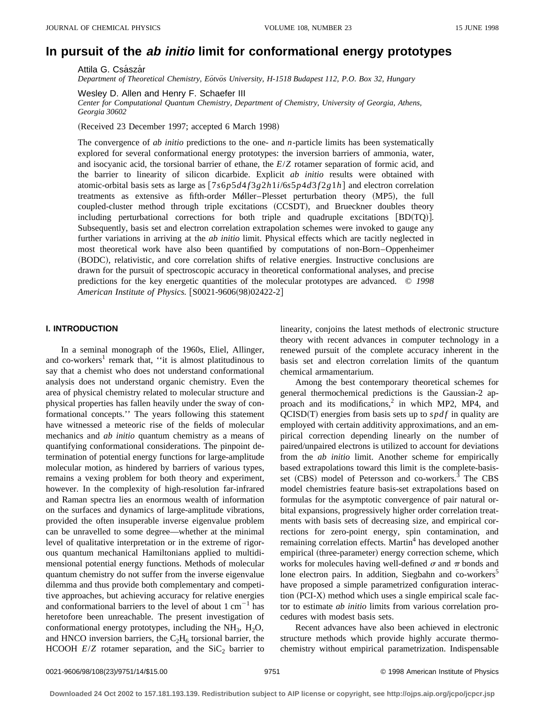# **In pursuit of the ab initio limit for conformational energy prototypes**

Attila G. Császár

*Department of Theoretical Chemistry, Eo¨tvo¨s University, H-1518 Budapest 112, P.O. Box 32, Hungary*

Wesley D. Allen and Henry F. Schaefer III

*Center for Computational Quantum Chemistry, Department of Chemistry, University of Georgia, Athens, Georgia 30602*

(Received 23 December 1997; accepted 6 March 1998)

The convergence of *ab initio* predictions to the one- and *n*-particle limits has been systematically explored for several conformational energy prototypes: the inversion barriers of ammonia, water, and isocyanic acid, the torsional barrier of ethane, the *E*/*Z* rotamer separation of formic acid, and the barrier to linearity of silicon dicarbide. Explicit *ab initio* results were obtained with atomic-orbital basis sets as large as  $[7s6p5d4f3g2h1i/6s5p4d3f2g1h]$  and electron correlation treatments as extensive as fifth-order Møller–Plesset perturbation theory (MP5), the full coupled-cluster method through triple excitations (CCSDT), and Brueckner doubles theory including perturbational corrections for both triple and quadruple excitations  $[BD(TQ)]$ . Subsequently, basis set and electron correlation extrapolation schemes were invoked to gauge any further variations in arriving at the *ab initio* limit. Physical effects which are tacitly neglected in most theoretical work have also been quantified by computations of non-Born–Oppenheimer (BODC), relativistic, and core correlation shifts of relative energies. Instructive conclusions are drawn for the pursuit of spectroscopic accuracy in theoretical conformational analyses, and precise predictions for the key energetic quantities of the molecular prototypes are advanced. © *1998 American Institute of Physics.* [S0021-9606(98)02422-2]

# **I. INTRODUCTION**

In a seminal monograph of the 1960s, Eliel, Allinger, and co-workers<sup>1</sup> remark that, "it is almost platitudinous to say that a chemist who does not understand conformational analysis does not understand organic chemistry. Even the area of physical chemistry related to molecular structure and physical properties has fallen heavily under the sway of conformational concepts.'' The years following this statement have witnessed a meteoric rise of the fields of molecular mechanics and *ab initio* quantum chemistry as a means of quantifying conformational considerations. The pinpoint determination of potential energy functions for large-amplitude molecular motion, as hindered by barriers of various types, remains a vexing problem for both theory and experiment, however. In the complexity of high-resolution far-infrared and Raman spectra lies an enormous wealth of information on the surfaces and dynamics of large-amplitude vibrations, provided the often insuperable inverse eigenvalue problem can be unravelled to some degree—whether at the minimal level of qualitative interpretation or in the extreme of rigorous quantum mechanical Hamiltonians applied to multidimensional potential energy functions. Methods of molecular quantum chemistry do not suffer from the inverse eigenvalue dilemma and thus provide both complementary and competitive approaches, but achieving accuracy for relative energies and conformational barriers to the level of about  $1 \text{ cm}^{-1}$  has heretofore been unreachable. The present investigation of conformational energy prototypes, including the  $NH_3$ ,  $H_2O$ , and HNCO inversion barriers, the  $C_2H_6$  torsional barrier, the HCOOH  $E/Z$  rotamer separation, and the  $SiC_2$  barrier to

linearity, conjoins the latest methods of electronic structure theory with recent advances in computer technology in a renewed pursuit of the complete accuracy inherent in the basis set and electron correlation limits of the quantum chemical armamentarium.

Among the best contemporary theoretical schemes for general thermochemical predictions is the Gaussian-2 approach and its modifications, $2$  in which MP2, MP4, and  $QCISD(T)$  energies from basis sets up to *spdf* in quality are employed with certain additivity approximations, and an empirical correction depending linearly on the number of paired/unpaired electrons is utilized to account for deviations from the *ab initio* limit. Another scheme for empirically based extrapolations toward this limit is the complete-basisset (CBS) model of Petersson and co-workers.<sup>3</sup> The CBS model chemistries feature basis-set extrapolations based on formulas for the asymptotic convergence of pair natural orbital expansions, progressively higher order correlation treatments with basis sets of decreasing size, and empirical corrections for zero-point energy, spin contamination, and remaining correlation effects. Martin<sup>4</sup> has developed another empirical (three-parameter) energy correction scheme, which works for molecules having well-defined  $\sigma$  and  $\pi$  bonds and lone electron pairs. In addition, Siegbahn and co-workers<sup>5</sup> have proposed a simple parametrized configuration interac $tion (PCI-X)$  method which uses a single empirical scale factor to estimate *ab initio* limits from various correlation procedures with modest basis sets.

Recent advances have also been achieved in electronic structure methods which provide highly accurate thermochemistry without empirical parametrization. Indispensable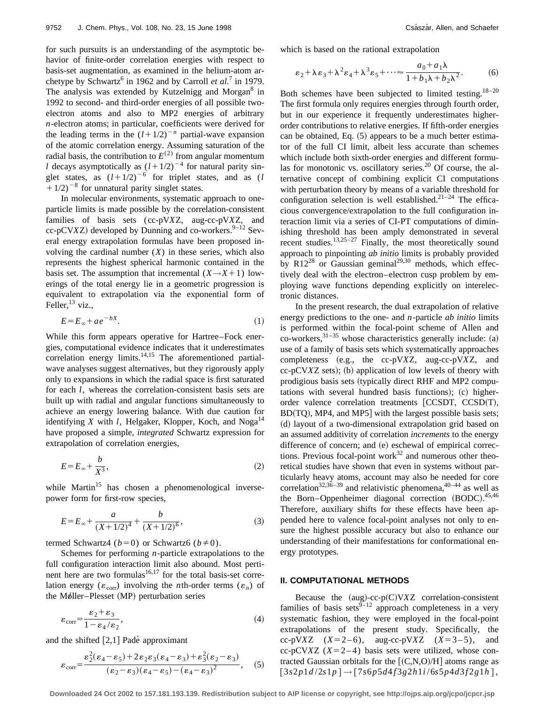for such pursuits is an understanding of the asymptotic behavior of finite-order correlation energies with respect to basis-set augmentation, as examined in the helium-atom archetype by Schwartz<sup>6</sup> in 1962 and by Carroll *et al.*<sup>7</sup> in 1979. The analysis was extended by Kutzelnigg and Morgan<sup>8</sup> in 1992 to second- and third-order energies of all possible twoelectron atoms and also to MP2 energies of arbitrary *n*-electron atoms; in particular, coefficients were derived for the leading terms in the  $(l+1/2)^{-n}$  partial-wave expansion of the atomic correlation energy. Assuming saturation of the radial basis, the contribution to  $E^{(2)}$  from angular momentum *l* decays asymptotically as  $(l+1/2)^{-4}$  for natural parity singlet states, as  $(l+1/2)^{-6}$  for triplet states, and as (*l*  $+1/2$ )<sup>-8</sup> for unnatural parity singlet states.

In molecular environments, systematic approach to oneparticle limits is made possible by the correlation-consistent families of basis sets (cc-pV*X*Z, aug-cc-pV*X*Z, and cc-pCV*X*Z) developed by Dunning and co-workers.<sup>9-12</sup> Several energy extrapolation formulas have been proposed involving the cardinal number  $(X)$  in these series, which also represents the highest spherical harmonic contained in the basis set. The assumption that incremental  $(X \rightarrow X + 1)$  lowerings of the total energy lie in a geometric progression is equivalent to extrapolation via the exponential form of Feller, $^{13}$  viz.,

$$
E = E_{\infty} + ae^{-bX}.
$$
 (1)

While this form appears operative for Hartree–Fock energies, computational evidence indicates that it underestimates correlation energy limits.<sup>14,15</sup> The aforementioned partialwave analyses suggest alternatives, but they rigorously apply only to expansions in which the radial space is first saturated for each *l*, whereas the correlation-consistent basis sets are built up with radial and angular functions simultaneously to achieve an energy lowering balance. With due caution for identifying  $X$  with  $l$ , Helgaker, Klopper, Koch, and Noga<sup>14</sup> have proposed a simple, *integrated* Schwartz expression for extrapolation of correlation energies,

$$
E = E_{\infty} + \frac{b}{X^3},\tag{2}
$$

while Martin<sup>15</sup> has chosen a phenomenological inversepower form for first-row species,

$$
E = E_{\infty} + \frac{a}{(X + 1/2)^4} + \frac{b}{(X + 1/2)^6},
$$
\n(3)

termed Schwartz4 ( $b=0$ ) or Schwartz6 ( $b\neq0$ ).

Schemes for performing *n*-particle extrapolations to the full configuration interaction limit also abound. Most pertinent here are two formulas $16,17$  for the total basis-set correlation energy ( $\varepsilon_{\text{corr}}$ ) involving the *n*th-order terms ( $\varepsilon_n$ ) of the Møller–Plesset (MP) perturbation series

$$
\varepsilon_{\text{corr}} = \frac{\varepsilon_2 + \varepsilon_3}{1 - \varepsilon_4 / \varepsilon_2},\tag{4}
$$

and the shifted  $[2,1]$  Padé approximant

$$
\varepsilon_{\text{corr}} = \frac{\varepsilon_2^2(\varepsilon_4 - \varepsilon_5) + 2\varepsilon_2\varepsilon_3(\varepsilon_4 - \varepsilon_3) + \varepsilon_3^2(\varepsilon_2 - \varepsilon_3)}{(\varepsilon_2 - \varepsilon_3)(\varepsilon_4 - \varepsilon_5) - (\varepsilon_4 - \varepsilon_3)^2},
$$
 (5)

which is based on the rational extrapolation

$$
\varepsilon_2 + \lambda \varepsilon_3 + \lambda^2 \varepsilon_4 + \lambda^3 \varepsilon_5 + \dots \approx \frac{a_0 + a_1 \lambda}{1 + b_1 \lambda + b_2 \lambda^2}.
$$
 (6)

Both schemes have been subjected to limited testing.<sup>18–20</sup> The first formula only requires energies through fourth order, but in our experience it frequently underestimates higherorder contributions to relative energies. If fifth-order energies can be obtained, Eq.  $(5)$  appears to be a much better estimator of the full CI limit, albeit less accurate than schemes which include both sixth-order energies and different formulas for monotonic vs. oscillatory series. $^{20}$  Of course, the alternative concept of combining explicit CI computations with perturbation theory by means of a variable threshold for configuration selection is well established.<sup>21-24</sup> The efficacious convergence/extrapolation to the full configuration interaction limit via a series of CI-PT computations of diminishing threshold has been amply demonstrated in several recent studies.<sup>13,25-27</sup> Finally, the most theoretically sound approach to pinpointing *ab initio* limits is probably provided by  $R12^{28}$  or Gaussian geminal<sup>29,30</sup> methods, which effectively deal with the electron–electron cusp problem by employing wave functions depending explicitly on interelectronic distances.

In the present research, the dual extrapolation of relative energy predictions to the one- and *n*-particle *ab initio* limits is performed within the focal-point scheme of Allen and  $\frac{1}{2}$ co-workers,<sup>31–35</sup> whose characteristics generally include: (a) use of a family of basis sets which systematically approaches completeness (e.g., the cc-pV*XZ*, aug-cc-pV*XZ*, and cc-pCV*XZ* sets); (b) application of low levels of theory with prodigious basis sets (typically direct RHF and MP2 computations with several hundred basis functions); (c) higherorder valence correlation treatments  $[CCSDT, CCSD(T)],$  $BD(TQ)$ , MP4, and MP5 $\vert$  with the largest possible basis sets; ~d! layout of a two-dimensional extrapolation grid based on an assumed additivity of correlation *increments* to the energy difference of concern; and (e) eschewal of empirical corrections. Previous focal-point work $32$  and numerous other theoretical studies have shown that even in systems without particularly heavy atoms, account may also be needed for core correlation<sup>32,36–39</sup> and relativistic phenomena,<sup>40–44</sup> as well as the Born–Oppenheimer diagonal correction (BODC).<sup>45,46</sup> Therefore, auxiliary shifts for these effects have been appended here to valence focal-point analyses not only to ensure the highest possible accuracy but also to enhance our understanding of their manifestations for conformational energy prototypes.

# **II. COMPUTATIONAL METHODS**

Because the (aug)-cc-p(C)VXZ correlation-consistent families of basis sets<sup>9–12</sup> approach completeness in a very systematic fashion, they were employed in the focal-point extrapolations of the present study. Specifically, the cc-pV*X*Z  $(X=2-6)$ , aug-cc-pV*X*Z  $(X=3-5)$ , and cc-pCV*XZ*  $(X=2-4)$  basis sets were utilized, whose contracted Gaussian orbitals for the  $[(C,N,O)/H]$  atoms range as  $[3s2p1d/2s1p] \rightarrow [7s6p5d4f3g2h1i/6s5p4d3f2g1h],$ 

**Downloaded 24 Oct 2002 to 157.181.193.139. Redistribution subject to AIP license or copyright, see http://ojps.aip.org/jcpo/jcpcr.jsp**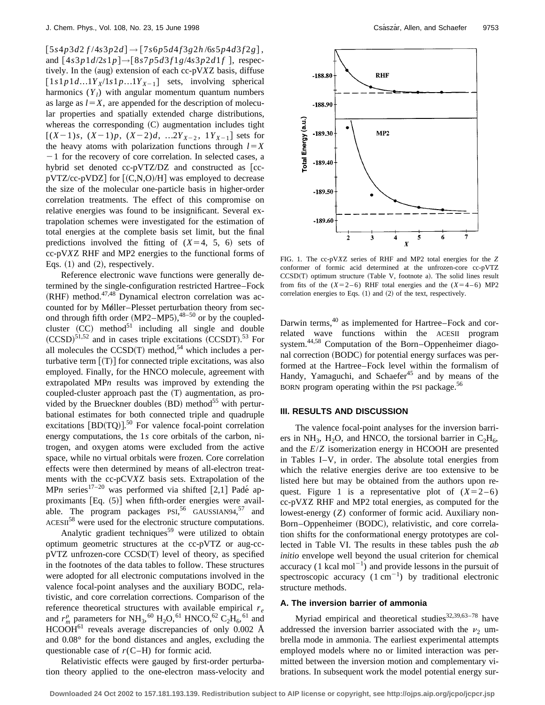$[5s4p3d2f/4s3p2d] \rightarrow [7s6p5d4f3g2h/6s5p4d3f2g],$ and  $\lceil 4s3p1d/2s1p \rceil \rightarrow \lceil 8s7p5d3f1g/4s3p2d1f \rceil$ , respectively. In the (aug) extension of each cc-pV*XZ* basis, diffuse  $[1s1p1d...1Y<sub>X</sub>/1s1p...1Y<sub>X-1</sub>]$  sets, involving spherical harmonics  $(Y_l)$  with angular momentum quantum numbers as large as  $l = X$ , are appended for the description of molecular properties and spatially extended charge distributions, whereas the corresponding (C) augmentation includes tight  $[(X-1)s, (X-1)p, (X-2)d, ... 2Y_{X-2}, 1Y_{X-1}]$  sets for the heavy atoms with polarization functions through  $l = X$  $-1$  for the recovery of core correlation. In selected cases, a hybrid set denoted  $cc$ -pVTZ/DZ and constructed as  $[cc$  $pVTZ/cc-pVDZ$  for  $[(C,N,O)/H]$  was employed to decrease the size of the molecular one-particle basis in higher-order correlation treatments. The effect of this compromise on relative energies was found to be insignificant. Several extrapolation schemes were investigated for the estimation of total energies at the complete basis set limit, but the final predictions involved the fitting of  $(X=4, 5, 6)$  sets of cc-pV*X*Z RHF and MP2 energies to the functional forms of Eqs.  $(1)$  and  $(2)$ , respectively.

Reference electronic wave functions were generally determined by the single-configuration restricted Hartree–Fock  $(RHF)$  method.<sup>47,48</sup> Dynamical electron correlation was accounted for by Møller–Plesset perturbation theory from second through fifth order  $(MP2-MP5)$ ,  $48-50$  or by the coupledcluster  $(\overrightarrow{CC})$  method<sup>51</sup> including all single and double  $(CCSD)^{51,52}$  and in cases triple excitations  $(CCSDT)$ .<sup>53</sup> For all molecules the CCSD(T) method,<sup>54</sup> which includes a perturbative term  $[(T)]$  for connected triple excitations, was also employed. Finally, for the HNCO molecule, agreement with extrapolated MP*n* results was improved by extending the coupled-cluster approach past the  $(T)$  augmentation, as provided by the Brueckner doubles  $(BD)$  method<sup>55</sup> with perturbational estimates for both connected triple and quadruple excitations  $[BD(TQ)]^{.50}$  For valence focal-point correlation energy computations, the 1*s* core orbitals of the carbon, nitrogen, and oxygen atoms were excluded from the active space, while no virtual orbitals were frozen. Core correlation effects were then determined by means of all-electron treatments with the cc-pCV*X*Z basis sets. Extrapolation of the MPn series<sup>17–20</sup> was performed via shifted [2,1] Padé approximants  $[Eq. (5)]$  when fifth-order energies were available. The program packages PSI,<sup>56</sup> GAUSSIAN94,<sup>57</sup> and ACESII<sup>58</sup> were used for the electronic structure computations.

Analytic gradient techniques<sup>59</sup> were utilized to obtain optimum geometric structures at the cc-pVTZ or aug-cc $pVTZ$  unfrozen-core  $CCSD(T)$  level of theory, as specified in the footnotes of the data tables to follow. These structures were adopted for all electronic computations involved in the valence focal-point analyses and the auxiliary BODC, relativistic, and core correlation corrections. Comparison of the reference theoretical structures with available empirical  $r_e$ and  $r_m^{\rho}$  parameters for NH<sub>3</sub>,<sup>60</sup> H<sub>2</sub>O,<sup>61</sup> HNCO,<sup>62</sup> C<sub>2</sub>H<sub>6</sub>,<sup>61</sup> and  $HCOOH<sup>61</sup>$  reveals average discrepancies of only 0.002 Å and 0.08° for the bond distances and angles, excluding the questionable case of *r*(C–H) for formic acid.

Relativistic effects were gauged by first-order perturbation theory applied to the one-electron mass-velocity and



FIG. 1. The cc-pV*X*Z series of RHF and MP2 total energies for the *Z* conformer of formic acid determined at the unfrozen-core cc-pVTZ  $CCSD(T)$  optimum structure (Table V, footnote a). The solid lines result from fits of the  $(X=2-6)$  RHF total energies and the  $(X=4-6)$  MP2 correlation energies to Eqs.  $(1)$  and  $(2)$  of the text, respectively.

Darwin terms,<sup>40</sup> as implemented for Hartree–Fock and correlated wave functions within the ACESII program system.44,58 Computation of the Born–Oppenheimer diagonal correction (BODC) for potential energy surfaces was performed at the Hartree–Fock level within the formalism of Handy, Yamaguchi, and Schaefer<sup>45</sup> and by means of the BORN program operating within the PSI package.<sup>56</sup>

# **III. RESULTS AND DISCUSSION**

The valence focal-point analyses for the inversion barriers in NH<sub>3</sub>, H<sub>2</sub>O, and HNCO, the torsional barrier in C<sub>2</sub>H<sub>6</sub>, and the *E*/*Z* isomerization energy in HCOOH are presented in Tables I–V, in order. The absolute total energies from which the relative energies derive are too extensive to be listed here but may be obtained from the authors upon request. Figure 1 is a representative plot of  $(X=2-6)$ cc-pV*X*Z RHF and MP2 total energies, as computed for the lowest-energy (*Z*) conformer of formic acid. Auxiliary non-Born–Oppenheimer (BODC), relativistic, and core correlation shifts for the conformational energy prototypes are collected in Table VI. The results in these tables push the *ab initio* envelope well beyond the usual criterion for chemical accuracy (1 kcal mol<sup>-1</sup>) and provide lessons in the pursuit of spectroscopic accuracy  $(1 \text{ cm}^{-1})$  by traditional electronic structure methods.

# **A. The inversion barrier of ammonia**

Myriad empirical and theoretical studies $32,39,63-78$  have addressed the inversion barrier associated with the  $\nu_2$  umbrella mode in ammonia. The earliest experimental attempts employed models where no or limited interaction was permitted between the inversion motion and complementary vibrations. In subsequent work the model potential energy sur-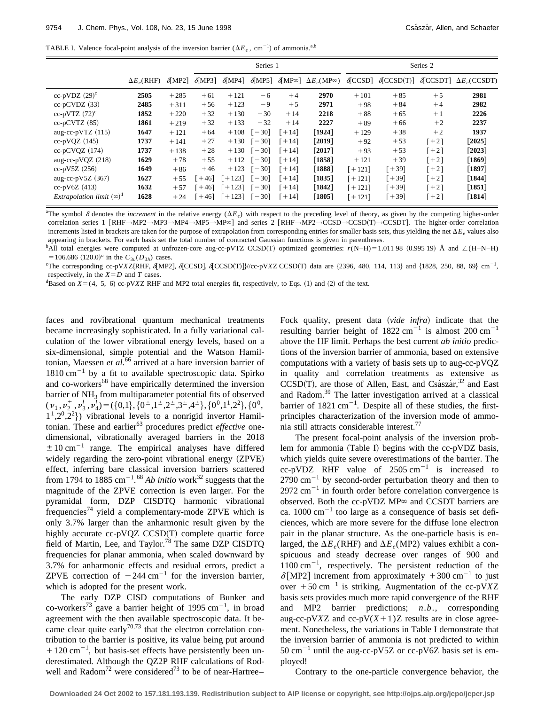TABLE I. Valence focal-point analysis of the inversion barrier ( $\Delta E_e$ , cm<sup>-1</sup>) of ammonia.<sup>a,b</sup>

|                                  |                    |               | Series 1      |               |                                 |               |                        | Series <sub>2</sub> |                                |                    |                                                |
|----------------------------------|--------------------|---------------|---------------|---------------|---------------------------------|---------------|------------------------|---------------------|--------------------------------|--------------------|------------------------------------------------|
|                                  | $\Delta E_c$ (RHF) | $\delta$ MP2] | $\delta$ MP3] | $\delta$ MP4] | $\delta$ MP5]                   | $\delta$ MP∞] | $\Delta E_c(MP\infty)$ |                     | $\delta$ CCSD $\delta$ CCSD(T) |                    | $\delta$ CCSDT $\Delta E$ <sub>s</sub> (CCSDT) |
| cc-pVDZ $(29)^c$                 | 2505               | $+285$        | $+61$         | $+121$        | $-6$                            | $+4$          | 2970                   | $+101$              | $+85$                          | $+5$               | 2981                                           |
| $cc$ -pCVDZ $(33)$               | 2485               | $+311$        | $+56$         | $+123$        | $-9$                            | $+5$          | 2971                   | $+98$               | $+84$                          | $+4$               | 2982                                           |
| cc-pVTZ $(72)^c$                 | 1852               | $+220$        | $+32$         | $+130$        | $-30$                           | $+14$         | 2218                   | $+88$               | $+65$                          | $+1$               | 2226                                           |
| $cc$ -p $CVTZ(85)$               | 1861               | $+219$        | $+32$         | $+133$        | $-32$                           | $+14$         | 2227                   | $+89$               | $+66$                          | $+2$               | 2237                                           |
| aug-cc-pVTZ (115)                | 1647               | $+121$        | $+64$         | $+108$        | $[-30]$                         | $+14$ ]       | $[1924]$               | $+129$              | $+38$                          | $+2$               | 1937                                           |
| $cc-pVQZ(145)$                   | 1737               | $+141$        | $+27$         | $+130$        | $-30$ ]                         | $+14$         | $[2019]$               | $+92$               | $+53$                          | $[+2]$             | $[2025]$                                       |
| $cc-pCVQZ(174)$                  | 1737               | $+138$        | $+28$         | $+130$        | $[-30]$                         | $+14$ ]       | $[2017]$               | $+93$               | $+53$                          | $\lceil +2 \rceil$ | $[2023]$                                       |
| aug-cc-pVQZ $(218)$              | 1629               | $+78$         | $+55$         | $+112$        | $[-30]$                         | $+14$         | $[1858]$               | $+121$              | $+39$                          | $\lceil +2 \rceil$ | [1869]                                         |
| $cc-pV5Z(256)$                   | 1649               | $+86$         | $+46$         | $+123$        | $[-30]$                         | $+14$         | [1888]                 | $+121$ ]            | $+39$ ]                        | $\lceil +2 \rceil$ | [1897]                                         |
| aug-cc-pV5Z (367)                | 1627               | $+55$         | $+46$ ]       | $+123$ ]      | 30]<br>$\overline{\phantom{m}}$ | $+14$ ]       | $[1835]$               | $+121$ ]            | $[+39]$                        | $[+2]$             | $[1844]$                                       |
| $cc-pV6Z(413)$                   | 1632               | $+57$         | $+46$         | $+123$        | 30]<br>$\overline{\phantom{a}}$ | $+14$         | $[1842]$               | $+121$ ]            | $[-1, 39]$                     | $[+2]$             | $[1851]$                                       |
| Extrapolation limit $(\infty)^d$ | 1628               | $+24$         | $+46$ ]       | $+1231$       | 30]<br>$\qquad \qquad -$        | $+14$ ]       | [1805]                 | $+121$ ]            | $+39$ ]                        | $\lceil +2 \rceil$ | $[1814]$                                       |

<sup>a</sup>The symbol  $\delta$  denotes the *increment* in the relative energy ( $\Delta E_e$ ) with respect to the preceding level of theory, as given by the competing higher-order correlation series 1 [RHF→MP2→MP3→MP4→MP5→MP∞] and series 2 [RHF→MP2→CCSD→CCSD(T)→CCSDT]. The higher-order correlation increments listed in brackets are taken for the purpose of extrapolation from corresponding entries for smaller basis sets, thus yielding the net  $\Delta E_e$  values also appearing in brackets. For each basis set the total number of contracted Gaussian functions is given in parentheses.

 $b$ All total energies were computed at unfrozen-core aug-cc-pVTZ CCSD(T) optimized geometries:  $r(N-H) = 1.01198$  (0.995 19) Å and  $\angle(H-N-H)$  $=106.686 ~ (120.0)^{\circ}$  in the  $C_{3v}(D_{3h})$  cases.

The corresponding cc-pV*XZ*{RHF,  $\delta$ <sub>[MP2</sub>],  $\delta$ <sub>[CCSD</sub>],  $\delta$ <sub>[CCSD</sub>(T)]}//cc-pV*XZ* CCSD(T) data are {2396, 480, 114, 113} and {1828, 250, 88, 69} cm<sup>-1</sup>, respectively, in the  $X = D$  and *T* cases.

 ${}^{d}$ Based on  $X = (4, 5, 6)$  cc-pV*XZ* RHF and MP2 total energies fit, respectively, to Eqs. (1) and (2) of the text.

faces and rovibrational quantum mechanical treatments became increasingly sophisticated. In a fully variational calculation of the lower vibrational energy levels, based on a six-dimensional, simple potential and the Watson Hamiltonian, Maessen *et al.*<sup>66</sup> arrived at a bare inversion barrier of  $1810 \text{ cm}^{-1}$  by a fit to available spectroscopic data. Spirko and co-workers<sup>68</sup> have empirically determined the inversion barrier of  $NH<sub>3</sub>$  from multiparameter potential fits of observed  $(\nu_1, \nu_2^{\pm}, \nu_3^l, \nu_4^l) = (\{0,1\}, \{0^{\pm}, 1^{\pm}, 2^{\pm}, 3^{\pm}, 4^{\pm}\}, \{0^0, 1^1, 2^2\}, \{0^0,$  $1^1, 2^0, 2^2$ ) vibrational levels to a nonrigid invertor Hamiltonian. These and earlier<sup>63</sup> procedures predict *effective* onedimensional, vibrationally averaged barriers in the 2018  $\pm 10$  cm<sup>-1</sup> range. The empirical analyses have differed widely regarding the zero-point vibrational energy (ZPVE) effect, inferring bare classical inversion barriers scattered from 1794 to 1885  $\text{cm}^{-1}$ .<sup>68</sup> *Ab initio* work<sup>32</sup> suggests that the magnitude of the ZPVE correction is even larger. For the pyramidal form, DZP CISDTQ harmonic vibrational  $f$ requencies<sup>74</sup> yield a complementary-mode ZPVE which is only 3.7% larger than the anharmonic result given by the highly accurate  $cc-pVQZ CCSD(T)$  complete quartic force field of Martin, Lee, and Taylor.<sup>78</sup> The same DZP CISDTQ frequencies for planar ammonia, when scaled downward by 3.7% for anharmonic effects and residual errors, predict a ZPVE correction of  $-244$  cm<sup>-1</sup> for the inversion barrier, which is adopted for the present work.

The early DZP CISD computations of Bunker and co-workers<sup>73</sup> gave a barrier height of 1995 cm<sup>-1</sup>, in broad agreement with the then available spectroscopic data. It became clear quite early $70,73$  that the electron correlation contribution to the barrier is positive, its value being put around  $+120$  cm<sup>-1</sup>, but basis-set effects have persistently been underestimated. Although the QZ2P RHF calculations of Rodwell and Radom<sup>72</sup> were considered<sup>73</sup> to be of near-Hartree– Fock quality, present data (vide infra) indicate that the resulting barrier height of  $1822 \text{ cm}^{-1}$  is almost  $200 \text{ cm}^{-1}$ above the HF limit. Perhaps the best current *ab initio* predictions of the inversion barrier of ammonia, based on extensive computations with a variety of basis sets up to aug-cc-pVQZ in quality and correlation treatments as extensive as  $CCSD(T)$ , are those of Allen, East, and Császár,<sup>32</sup> and East and Radom.39 The latter investigation arrived at a classical barrier of  $1821 \text{ cm}^{-1}$ . Despite all of these studies, the firstprinciples characterization of the inversion mode of ammonia still attracts considerable interest.77

The present focal-point analysis of the inversion problem for ammonia  $(Table I)$  begins with the cc-pVDZ basis, which yields quite severe overestimations of the barrier. The cc-pVDZ RHF value of  $2505 \text{ cm}^{-1}$  is increased to  $2790 \text{ cm}^{-1}$  by second-order perturbation theory and then to  $2972$  cm<sup>-1</sup> in fourth order before correlation convergence is observed. Both the cc-pVDZ MP $\infty$  and CCSDT barriers are ca.  $1000 \text{ cm}^{-1}$  too large as a consequence of basis set deficiences, which are more severe for the diffuse lone electron pair in the planar structure. As the one-particle basis is enlarged, the  $\Delta E_e$ (RHF) and  $\Delta E_e$ (MP2) values exhibit a conspicuous and steady decrease over ranges of 900 and  $1100 \text{ cm}^{-1}$ , respectively. The persistent reduction of the  $\delta$ [MP2] increment from approximately  $+300$  cm<sup>-1</sup> to just over  $+50 \text{ cm}^{-1}$  is striking. Augmentation of the cc-pV*XZ* basis sets provides much more rapid convergence of the RHF and MP2 barrier predictions; *n*.*b*., corresponding aug-cc-pV*XZ* and cc-pV $(X+1)Z$  results are in close agreement. Nonetheless, the variations in Table I demonstrate that the inversion barrier of ammonia is not predicted to within  $50 \text{ cm}^{-1}$  until the aug-cc-pV5Z or cc-pV6Z basis set is employed!

Contrary to the one-particle convergence behavior, the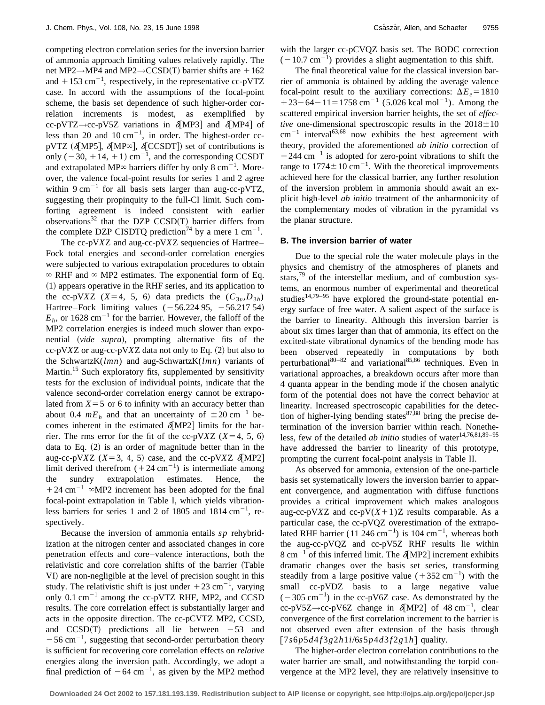competing electron correlation series for the inversion barrier of ammonia approach limiting values relatively rapidly. The net MP2→MP4 and MP2→CCSD(T) barrier shifts are +162 and  $+153$  cm<sup>-1</sup>, respectively, in the representative cc-pVTZ case. In accord with the assumptions of the focal-point scheme, the basis set dependence of such higher-order correlation increments is modest, as exemplified by cc-pVTZ $\rightarrow$ cc-pV5Z variations in  $\delta$ MP3 and  $\delta$ MP4 of less than 20 and  $10 \text{ cm}^{-1}$ , in order. The highest-order ccpVTZ ( $\delta$ [MP5],  $\delta$ [MP $\infty$ ],  $\delta$ [CCSDT]) set of contributions is only  $(-30, +14, +1)$  cm<sup>-1</sup>, and the corresponding CCSDT and extrapolated MP $\infty$  barriers differ by only 8 cm<sup>-1</sup>. Moreover, the valence focal-point results for series 1 and 2 agree within 9 cm<sup>-1</sup> for all basis sets larger than aug-cc-pVTZ, suggesting their propinquity to the full-CI limit. Such comforting agreement is indeed consistent with earlier observations<sup>32</sup> that the DZP CCSD(T) barrier differs from the complete DZP CISDTQ prediction<sup>74</sup> by a mere  $1 \text{ cm}^{-1}$ .

The cc-pV*X*Z and aug-cc-pV*X*Z sequencies of Hartree– Fock total energies and second-order correlation energies were subjected to various extrapolation procedures to obtain  $\infty$  RHF and  $\infty$  MP2 estimates. The exponential form of Eq.  $(1)$  appears operative in the RHF series, and its application to the cc-pV*X*Z (*X*=4, 5, 6) data predicts the  $(C_{3v}, D_{3h})$ Hartree–Fock limiting values  $(-56.224 95, -56.217 54)$  $E_h$ , or 1628 cm<sup>-1</sup> for the barrier. However, the falloff of the MP2 correlation energies is indeed much slower than exponential (vide supra), prompting alternative fits of the  $cc$ -pV*XZ* or aug- $cc$ -pV*XZ* data not only to Eq.  $(2)$  but also to the SchwartzK(*lmn*) and aug-SchwartzK(*lmn*) variants of Martin.<sup>15</sup> Such exploratory fits, supplemented by sensitivity tests for the exclusion of individual points, indicate that the valence second-order correlation energy cannot be extrapolated from  $X = 5$  or 6 to infinity with an accuracy better than about 0.4  $mE_h$  and that an uncertainty of  $\pm 20$  cm<sup>-1</sup> becomes inherent in the estimated  $\delta$ [MP2] limits for the barrier. The rms error for the fit of the cc-pV*XZ* ( $X=4, 5, 6$ ) data to Eq.  $(2)$  is an order of magnitude better than in the aug-cc-pV*X*Z ( $X=3$ , 4, 5) case, and the cc-pV*X*Z  $\delta$ MP2 limit derived therefrom  $(+24 \text{ cm}^{-1})$  is intermediate among the sundry extrapolation estimates. Hence, the +24 cm<sup>-1</sup>  $\infty$ MP2 increment has been adopted for the final focal-point extrapolation in Table I, which yields vibrationless barriers for series 1 and 2 of 1805 and  $1814 \text{ cm}^{-1}$ , respectively.

Because the inversion of ammonia entails *sp* rehybridization at the nitrogen center and associated changes in core penetration effects and core–valence interactions, both the relativistic and core correlation shifts of the barrier (Table VI) are non-negligible at the level of precision sought in this study. The relativistic shift is just under  $+23$  cm<sup>-1</sup>, varying only  $0.1 \text{ cm}^{-1}$  among the cc-pVTZ RHF, MP2, and CCSD results. The core correlation effect is substantially larger and acts in the opposite direction. The cc-pCVTZ MP2, CCSD, and  $CCSD(T)$  predictions all lie between  $-53$  and  $-56$  cm<sup>-1</sup>, suggesting that second-order perturbation theory is sufficient for recovering core correlation effects on *relative* energies along the inversion path. Accordingly, we adopt a final prediction of  $-64 \text{ cm}^{-1}$ , as given by the MP2 method with the larger cc-pCVQZ basis set. The BODC correction  $(-10.7 \text{ cm}^{-1})$  provides a slight augmentation to this shift.

The final theoretical value for the classical inversion barrier of ammonia is obtained by adding the average valence focal-point result to the auxiliary corrections:  $\Delta E_e = 1810$  $+23-64-11=1758$  cm<sup>-1</sup> (5.026 kcal mol<sup>-1</sup>). Among the scattered empirical inversion barrier heights, the set of *effective* one-dimensional spectroscopic results in the  $2018 \pm 10$  $cm^{-1}$  interval<sup>63,68</sup> now exhibits the best agreement with theory, provided the aforementioned *ab initio* correction of  $-244$  cm<sup>-1</sup> is adopted for zero-point vibrations to shift the range to  $1774 \pm 10 \text{ cm}^{-1}$ . With the theoretical improvements achieved here for the classical barrier, any further resolution of the inversion problem in ammonia should await an explicit high-level *ab initio* treatment of the anharmonicity of the complementary modes of vibration in the pyramidal vs the planar structure.

# **B. The inversion barrier of water**

Due to the special role the water molecule plays in the physics and chemistry of the atmospheres of planets and stars, $\frac{79}{9}$  of the interstellar medium, and of combustion systems, an enormous number of experimental and theoretical studies<sup>14,79–95</sup> have explored the ground-state potential energy surface of free water. A salient aspect of the surface is the barrier to linearity. Although this inversion barrier is about six times larger than that of ammonia, its effect on the excited-state vibrational dynamics of the bending mode has been observed repeatedly in computations by both perturbational<sup>80–82</sup> and variational<sup>85,86</sup> techniques. Even in variational approaches, a breakdown occurs after more than 4 quanta appear in the bending mode if the chosen analytic form of the potential does not have the correct behavior at linearity. Increased spectroscopic capabilities for the detection of higher-lying bending states<sup>87,88</sup> bring the precise determination of the inversion barrier within reach. Nonetheless, few of the detailed *ab initio* studies of water<sup>14,76,81,89-95</sup> have addressed the barrier to linearity of this prototype, prompting the current focal-point analysis in Table II.

As observed for ammonia, extension of the one-particle basis set systematically lowers the inversion barrier to apparent convergence, and augmentation with diffuse functions provides a critical improvement which makes analogous aug-cc-pV*X*Z and cc-pV $(X+1)Z$  results comparable. As a particular case, the cc-pVQZ overestimation of the extrapolated RHF barrier (11 246 cm<sup>-1</sup>) is 104 cm<sup>-1</sup>, whereas both the aug-cc-pVQZ and cc-pV5Z RHF results lie within 8 cm<sup>-1</sup> of this inferred limit. The  $\delta$ MP2 increment exhibits dramatic changes over the basis set series, transforming steadily from a large positive value  $(+352 \text{ cm}^{-1})$  with the small cc-pVDZ basis to a large negative value  $(-305 \text{ cm}^{-1})$  in the cc-pV6Z case. As demonstrated by the  $cc-pV5Z \rightarrow cc-pV6Z$  change in  $\delta$ [MP2] of 48 cm<sup>-1</sup>, clear convergence of the first correlation increment to the barrier is not observed even after extension of the basis through  $[7s6p5d4f3g2h1i/6s5p4d3f2g1h]$  quality.

The higher-order electron correlation contributions to the water barrier are small, and notwithstanding the torpid convergence at the MP2 level, they are relatively insensitive to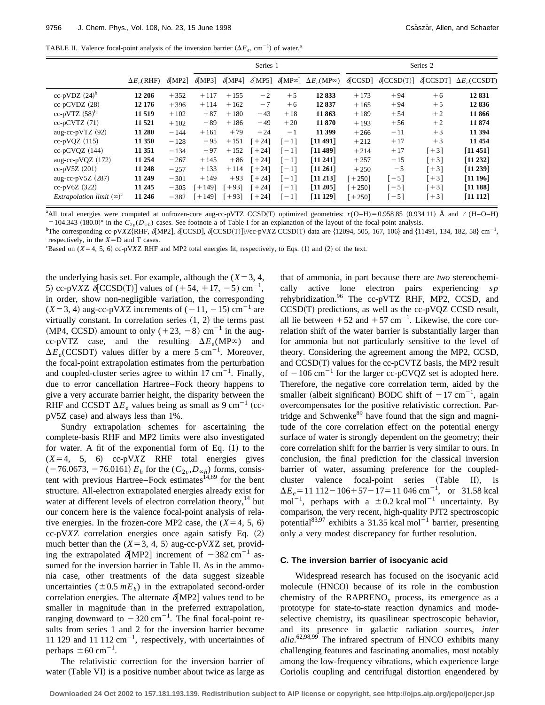TABLE II. Valence focal-point analysis of the inversion barrier  $(\Delta E_e, \text{ cm}^{-1})$  of water.<sup>a</sup>

|                                  |                               |               | Series 1      |               |               |         |                                   | Series 2 |                                |        |                                                |
|----------------------------------|-------------------------------|---------------|---------------|---------------|---------------|---------|-----------------------------------|----------|--------------------------------|--------|------------------------------------------------|
|                                  | $\Delta E$ <sub>s</sub> (RHF) | $\delta$ MP2] | $\delta$ MP3] | $\delta$ MP4] | $\delta$ MP5] |         | $\delta$ [MP∞] $\Delta E_e$ (MP∞) |          | $\delta$ CCSD $\delta$ CCSD(T) |        | $\delta$ CCSDT $\Delta E$ <sub>s</sub> (CCSDT) |
| cc-pVDZ $(24)^b$                 | 12 20 6                       | $+352$        | $+117$        | $+155$        | $-2$          | $+5$    | 12833                             | $+173$   | $+94$                          | $+6$   | 12831                                          |
| $cc$ -p $CVDZ(28)$               | 12 176                        | $+396$        | $+114$        | $+162$        | $-7$          | $+6$    | 12837                             | $+165$   | $+94$                          | $+5$   | 12836                                          |
| cc-pVTZ $(58)^b$                 | 11519                         | $+102$        | $+87$         | $+180$        | $-43$         | $+18$   | 11863                             | $+189$   | $+54$                          | $+2$   | 11866                                          |
| $cc$ -pCVTZ $(71)$               | 11 5 21                       | $+102$        | $+89$         | $+186$        | $-49$         | $+20$   | 11870                             | $+193$   | $+56$                          | $+2$   | 11874                                          |
| aug-cc-pVTZ (92)                 | 11 280                        | $-144$        | $+161$        | $+79$         | $+24$         | $^{-1}$ | 11 399                            | $+266$   | $-11$                          | $+3$   | 11 394                                         |
| $cc-pVQZ(115)$                   | 11 350                        | $-128$        | $+95$         | $+151$        | $[-124]$      | $-11$   | [11491]                           | $+212$   | $+17$                          | $+3$   | 11 454                                         |
| $cc-pCVQZ(144)$                  | 11 351                        | $-134$        | $+97$         | $+152$        | $[+24]$       | $-11$   | [11 489]                          | $+214$   | $+17$                          | $[+3]$ | [11451]                                        |
| aug-cc- $pVQZ(172)$              | 11 254                        | $-267$        | $+145$        | $+86$         | $[+24]$       | $-11$   | [11 241]                          | $+257$   | $-15$                          | $[+3]$ | [11 232]                                       |
| $cc-pV5Z(201)$                   | 11 248                        | $-257$        | $+133$        | $+114$        | $+24$ ]       | $-11$   | [11 261]                          | $+250$   | $-5$                           | $[+3]$ | [11 239]                                       |
| aug-cc-pV5Z (287)                | 11 249                        | $-301$        | $+149$        | $+93$         | $[- + 24]$    | $-11$   | [11 213]                          | $+250$ ] | $[-5]$                         | $[+3]$ | [11196]                                        |
| $cc-pV6Z(322)$                   | 11 245                        | $-305$        | $+149$ ]      | $+93$ ]       | $+24$ ]       | $-11$   | [11 205]                          | $+250$ ] | $[-5]$                         | $[+3]$ | [11188]                                        |
| Extrapolation limit $(\infty)^c$ | 11 24 6                       | $-382$        | $+149$ ]      | $+93]$        | $+24$ ]       | $-11$   | [11 129]                          | $+250$ ] | $[-5]$                         | $[+3]$ | [11 112]                                       |

<sup>a</sup>All total energies were computed at unfrozen-core aug-cc-pVTZ CCSD(T) optimized geometries:  $r(O-H) = 0.95885$  (0.934 11) Å and  $\angle(H-O-H)$  $=104.343 ~ (180.0)$ ° in the  $C_{2v}(D_{\infty h})$  cases. See footnote a of Table I for an explanation of the layout of the focal-point analysis.

The corresponding cc-pV*XZ*{RHF,  $\delta$ [MP2],  $\delta$ [CCSD],  $\delta$ [CCSD(T)]}//cc-pV*XZ* CCSD(T) data are {12094, 505, 167, 106} and {11491, 134, 182, 58} cm<sup>-1</sup>, respectively, in the  $X = D$  and T cases.

"Based on  $(X=4, 5, 6)$  cc-pV*XZ* RHF and MP2 total energies fit, respectively, to Eqs. (1) and (2) of the text.

the underlying basis set. For example, although the  $(X=3, 4, 4)$ 5) cc-pV*XZ*  $\delta$ [CCSD(T)] values of (+54, +17, -5) cm<sup>-1</sup>, in order, show non-negligible variation, the corresponding  $(X=3, 4)$  aug-cc-pVXZ increments of  $(-11, -15)$  cm<sup>-1</sup> are virtually constant. In correlation series  $(1, 2)$  the terms past (MP4, CCSD) amount to only  $(+23, -8)$  cm<sup>-1</sup> in the augcc-pVTZ case, and the resulting  $\Delta E_e$ (MP $\infty$ ) and  $\Delta E_e$ (CCSDT) values differ by a mere 5 cm<sup>-1</sup>. Moreover, the focal-point extrapolation estimates from the perturbation and coupled-cluster series agree to within  $17 \text{ cm}^{-1}$ . Finally, due to error cancellation Hartree–Fock theory happens to give a very accurate barrier height, the disparity between the RHF and CCSDT  $\Delta E_e$  values being as small as 9 cm<sup>-1</sup> (ccpV5Z case) and always less than 1%.

Sundry extrapolation schemes for ascertaining the complete-basis RHF and MP2 limits were also investigated for water. A fit of the exponential form of Eq.  $(1)$  to the  $(X=4, 5, 6)$  cc-pVXZ RHF total energies gives  $(-76.0673, -76.0161)$  *E<sub>h</sub>* for the  $(C_{2v}, D_{\infty h})$  forms, consistent with previous Hartree–Fock estimates $14,89$  for the bent structure. All-electron extrapolated energies already exist for water at different levels of electron correlation theory, $14$  but our concern here is the valence focal-point analysis of relative energies. In the frozen-core MP2 case, the  $(X=4, 5, 6)$  $cc-pVXZ$  correlation energies once again satisfy Eq.  $(2)$ much better than the  $(X=3, 4, 5)$  aug-cc-pV*XZ* set, providing the extrapolated  $\delta$ [MP2] increment of  $-382$  cm<sup>-1</sup> assumed for the inversion barrier in Table II. As in the ammonia case, other treatments of the data suggest sizeable uncertainties  $(\pm 0.5 mE_h)$  in the extrapolated second-order correlation energies. The alternate  $\delta$ [MP2] values tend to be smaller in magnitude than in the preferred extrapolation, ranging downward to  $-320 \text{ cm}^{-1}$ . The final focal-point results from series 1 and 2 for the inversion barrier become 11 129 and 11 112  $\text{cm}^{-1}$ , respectively, with uncertainties of perhaps  $\pm 60$  cm<sup>-1</sup>.

The relativistic correction for the inversion barrier of water (Table VI) is a positive number about twice as large as that of ammonia, in part because there are *two* stereochemically active lone electron pairs experiencing *sp* rehybridization.96 The cc-pVTZ RHF, MP2, CCSD, and  $CCSD(T)$  predictions, as well as the cc-pVQZ CCSD result, all lie between  $+52$  and  $+57$  cm<sup>-1</sup>. Likewise, the core correlation shift of the water barrier is substantially larger than for ammonia but not particularly sensitive to the level of theory. Considering the agreement among the MP2, CCSD, and  $CCSD(T)$  values for the cc-pCVTZ basis, the MP2 result of  $-106$  cm<sup>-1</sup> for the larger cc-pCVQZ set is adopted here. Therefore, the negative core correlation term, aided by the smaller (albeit significant) BODC shift of  $-17 \text{ cm}^{-1}$ , again overcompensates for the positive relativistic correction. Par-

tridge and Schwenke<sup>89</sup> have found that the sign and magnitude of the core correlation effect on the potential energy surface of water is strongly dependent on the geometry; their core correlation shift for the barrier is very similar to ours. In conclusion, the final prediction for the classical inversion barrier of water, assuming preference for the coupledcluster valence focal-point series (Table II), is  $\Delta E_e$  = 11 112 – 106 + 57 – 17 = 11 046 cm<sup>-1</sup>, or 31.58 kcal mol<sup>-1</sup>, perhaps with a  $\pm$  0.2 kcal mol<sup>-1</sup> uncertainty. By comparison, the very recent, high-quality PJT2 spectroscopic potential<sup>83,97</sup> exhibits a 31.35 kcal mol<sup>-1</sup> barrier, presenting only a very modest discrepancy for further resolution.

#### **C. The inversion barrier of isocyanic acid**

Widespread research has focused on the isocyanic acid molecule (HNCO) because of its role in the combustion chemistry of the  $RAPRENO<sub>x</sub>$  process, its emergence as a prototype for state-to-state reaction dynamics and modeselective chemistry, its quasilinear spectroscopic behavior, and its presence in galactic radiation sources, *inter alia*. 62,98,99 The infrared spectrum of HNCO exhibits many challenging features and fascinating anomalies, most notably among the low-frequency vibrations, which experience large Coriolis coupling and centrifugal distortion engendered by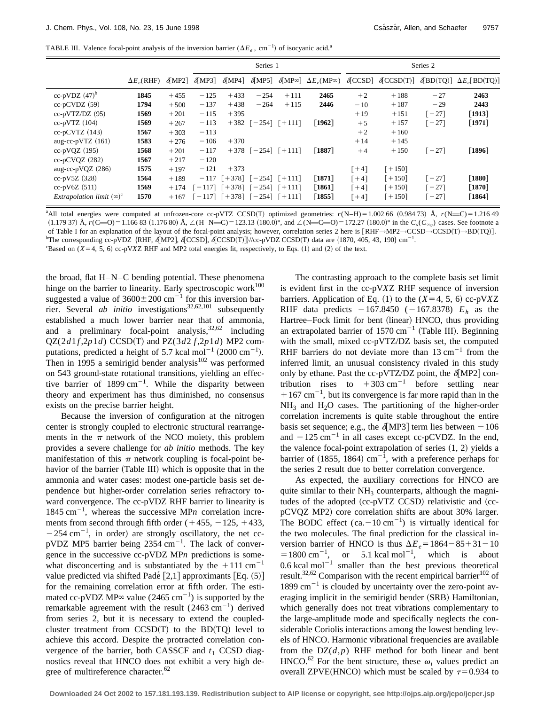TABLE III. Valence focal-point analysis of the inversion barrier  $(\Delta E_e, \text{ cm}^{-1})$  of isocyanic acid.<sup>a</sup>

|                                  |                               |               | Series 1      |               |               |          |                                                  | Series <sub>2</sub> |                   |                  |                                  |
|----------------------------------|-------------------------------|---------------|---------------|---------------|---------------|----------|--------------------------------------------------|---------------------|-------------------|------------------|----------------------------------|
|                                  | $\Delta E$ <sub>s</sub> (RHF) | $\delta$ MP2] | $\delta$ MP3] | $\delta$ MP4] | $\delta$ MP5] |          | $\delta$ MP $\infty$ $\Delta E_s$ (MP $\infty$ ) | $\delta$ [CCSD]     | $\delta$ CCSD(T)] | $\delta$ BD(TQ)] | $\Delta E$ <sub>s</sub> [BD(TQ)] |
| cc-pVDZ $(47)^b$                 | 1845                          | $+455$        | $-125$        | $+433$        | $-254$        | $+111$   | 2465                                             | $+2$                | $+188$            | $-27$            | 2463                             |
| $cc$ -pCVDZ $(59)$               | 1794                          | $+500$        | $-137$        | $+438$        | $-264$        | $+115$   | 2446                                             | $-10$               | $+187$            | $-29$            | 2443                             |
| $cc-pVTZ/DZ$ (95)                | 1569                          | $+201$        | $-115$        | $+395$        |               |          |                                                  | $+19$               | $+151$            | $-27$ ]          | $[1913]$                         |
| $cc$ -pVTZ $(104)$               | 1569                          | $+267$        | $-113$        | $+382$        | $[-254]$      | $[+111]$ | $[1962]$                                         | $+5$                | $+157$            | $-27$ ]          | $[1971]$                         |
| $cc$ -pCVTZ $(143)$              | 1567                          | $+303$        | $-113$        |               |               |          |                                                  | $+2$                | $+160$            |                  |                                  |
| aug-cc-pVTZ $(161)$              | 1583                          | $+276$        | $-106$        | $+370$        |               |          |                                                  | $+14$               | $+145$            |                  |                                  |
| $cc-pVQZ(195)$                   | 1568                          | $+201$        | $-117$        | $+378$        | $[-254]$      | $[+111]$ | $[1887]$                                         | $+4$                | $+150$            | $-27$ ]          | $[1896]$                         |
| $cc$ -pCVQZ $(282)$              | 1567                          | $+217$        | $-120$        |               |               |          |                                                  |                     |                   |                  |                                  |
| aug-cc-pVQZ (286)                | 1575                          | $+197$        | $-121$        | $+373$        |               |          |                                                  | $[+4]$              | $+150$ ]          |                  |                                  |
| $cc-pV5Z(328)$                   | 1564                          | $+189$        | $-117$        | $[-1, 378]$   | $-254$ ]      | $[+111]$ | $[1871]$                                         | $\lceil +4 \rceil$  | $+150$ ]          | $-27$ ]          | [1880]                           |
| $cc-pV6Z(511)$                   | 1569                          | $+174$        | $-117$        | $[+378]$      | $-254$        | $+111$   | $[1861]$                                         | $\lceil +4 \rceil$  | $+150$            | $-27$ ]          | $[1870]$                         |
| Extrapolation limit $(\infty)^c$ | 1570                          | $+167$        | $-1171$       | $[+378]$      | $-254$ ]      | [+111]   | $[1855]$                                         | $[+4]$              | $+150$            | $-27$ ]          | $[1864]$                         |

<sup>a</sup>All total energies were computed at unfrozen-core cc-pVTZ CCSD(T) optimized geometries:  $r(N-H) = 1.002$  66 (0.984 73) Å,  $r(N=C) = 1.216$  49  $(1.179\,37)$  Å,  $r(C=0) = 1.166\,83$   $(1.176\,80)$  Å,  $\angle$ (H–N=C) = 123.13  $(180.0)^\circ$ , and  $\angle$ (N=C=O) = 172.27  $(180.0)^\circ$  in the  $C_s(C_{\alpha}$ ) cases. See footnote a of Table I for an explanation of the layout of the focal-point analysis; however, correlation series 2 here is [RHF→MP2→CCSD→CCSD(T)→BD(TQ)]. The corresponding cc-pVDZ  $\{RHF, \delta\$ MPP\}, \delta\{CCSD\] \},  $\{CCSD(T)\}$ //cc-pVDZ CCSD(T) data are  $\{1870, 405, 43, 190\}$  cm<sup>-1</sup>. "Based on  $(X=4, 5, 6)$  cc-pV*XZ* RHF and MP2 total energies fit, respectively, to Eqs. (1) and (2) of the text.

the broad, flat H–N–C bending potential. These phenomena hinge on the barrier to linearity. Early spectroscopic work $100$ suggested a value of  $3600 \pm 200$  cm<sup>-1</sup> for this inversion barrier. Several *ab initio* investigations<sup>32,62,101</sup> subsequently established a much lower barrier near that of ammonia, and a preliminary focal-point analysis,  $32,62$  including  $QZ(2d1f,2p1d)$  CCSD(T) and PZ(3d2  $f$ ,2p1d) MP2 computations, predicted a height of 5.7 kcal mol<sup>-1</sup> (2000 cm<sup>-1</sup>). Then in 1995 a semirigid bender analysis $102$  was performed on 543 ground-state rotational transitions, yielding an effective barrier of  $1899 \text{ cm}^{-1}$ . While the disparity between theory and experiment has thus diminished, no consensus exists on the precise barrier height.

Because the inversion of configuration at the nitrogen center is strongly coupled to electronic structural rearrangements in the  $\pi$  network of the NCO moiety, this problem provides a severe challenge for *ab initio* methods. The key manifestation of this  $\pi$  network coupling is focal-point behavior of the barrier (Table III) which is opposite that in the ammonia and water cases: modest one-particle basis set dependence but higher-order correlation series refractory toward convergence. The cc-pVDZ RHF barrier to linearity is  $1845 \text{ cm}^{-1}$ , whereas the successive MP<sub>n</sub> correlation increments from second through fifth order  $(+455, -125, +433,$  $-254$  cm<sup>-1</sup>, in order) are strongly oscillatory, the net ccpVDZ MP5 barrier being  $2354 \text{ cm}^{-1}$ . The lack of convergence in the successive cc-pVDZ MP*n* predictions is somewhat disconcerting and is substantiated by the  $+111$  cm<sup>-1</sup> value predicted via shifted Padé $[2,1]$  approximants  $[Eq. (5)]$ for the remaining correlation error at fifth order. The estimated cc-pVDZ MP $\infty$  value (2465 cm<sup>-1</sup>) is supported by the remarkable agreement with the result  $(2463 \text{ cm}^{-1})$  derived from series 2, but it is necessary to extend the coupledcluster treatment from  $CCSD(T)$  to the  $BD(TQ)$  level to achieve this accord. Despite the protracted correlation convergence of the barrier, both CASSCF and  $t_1$  CCSD diagnostics reveal that HNCO does not exhibit a very high degree of multireference character.<sup>62</sup>

The contrasting approach to the complete basis set limit is evident first in the cc-pV*X*Z RHF sequence of inversion barriers. Application of Eq.  $(1)$  to the  $(X=4, 5, 6)$  cc-pV*XZ* RHF data predicts  $-167.8450 (-167.8378)$  *E<sub>h</sub>* as the Hartree–Fock limit for bent (linear) HNCO, thus providing an extrapolated barrier of  $1570 \text{ cm}^{-1}$  (Table III). Beginning with the small, mixed cc-pVTZ/DZ basis set, the computed RHF barriers do not deviate more than  $13 \text{ cm}^{-1}$  from the inferred limit, an unusual consistency rivaled in this study only by ethane. Past the cc-pVTZ/DZ point, the  $\delta$ [MP2] contribution rises to  $+303$  cm<sup>-1</sup> before settling near  $+167$  cm<sup>-1</sup>, but its convergence is far more rapid than in the  $NH<sub>3</sub>$  and  $H<sub>2</sub>O$  cases. The partitioning of the higher-order correlation increments is quite stable throughout the entire basis set sequence; e.g., the  $\delta$ [MP3] term lies between -106 and  $-125$  cm<sup>-1</sup> in all cases except cc-pCVDZ. In the end, the valence focal-point extrapolation of series  $(1, 2)$  yields a barrier of (1855, 1864)  $cm^{-1}$ , with a preference perhaps for the series 2 result due to better correlation convergence.

As expected, the auxiliary corrections for HNCO are quite similar to their  $NH_3$  counterparts, although the magnitudes of the adopted  $(cc-pVTZ CCSD)$  relativistic and  $(cc$ pCVQZ MP2) core correlation shifts are about 30% larger. The BODC effect  $(ca.-10 cm^{-1})$  is virtually identical for the two molecules. The final prediction for the classical inversion barrier of HNCO is thus  $\Delta E_e = 1864 - 85 + 31 - 10$  $= 1800 \text{ cm}^{-1}$ , or 5.1 kcal mol<sup>-1</sup>, which is about  $0.6$  kcal mol<sup>-1</sup> smaller than the best previous theoretical result.<sup>32,62</sup> Comparison with the recent empirical barrier<sup>102</sup> of  $1899 \text{ cm}^{-1}$  is clouded by uncertainty over the zero-point averaging implicit in the semirigid bender (SRB) Hamiltonian, which generally does not treat vibrations complementary to the large-amplitude mode and specifically neglects the considerable Coriolis interactions among the lowest bending levels of HNCO. Harmonic vibrational frequencies are available from the  $DZ(d,p)$  RHF method for both linear and bent HNCO.<sup>62</sup> For the bent structure, these  $\omega_i$  values predict an overall ZPVE(HNCO) which must be scaled by  $\tau=0.934$  to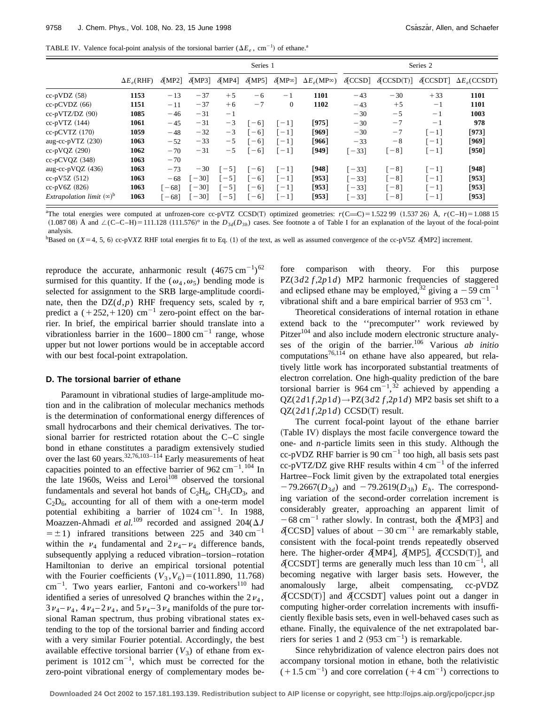TABLE IV. Valence focal-point analysis of the torsional barrier  $(\Delta E_e, \text{ cm}^{-1})$  of ethane.<sup>a</sup>

|                                  |                               |               |                                 |               | Series 1      |                            |                               | Series <sub>2</sub> |                   |                |                                 |
|----------------------------------|-------------------------------|---------------|---------------------------------|---------------|---------------|----------------------------|-------------------------------|---------------------|-------------------|----------------|---------------------------------|
|                                  | $\Delta E$ <sub>a</sub> (RHF) | $\delta$ MP2] | $\delta$ MP3]                   | $\delta$ MP4] | $\delta$ MP5] | $\delta$ MP <sup>∞</sup> ] | $\Delta E_e(\text{MP}\infty)$ | $\delta$ CCSD]      | $\delta$ CCSD(T)] | $\delta$ CCSDT | $\Delta E$ <sub>s</sub> (CCSDT) |
| $cc-pVDZ(58)$                    | 1153                          | $-13$         | $-37$                           | $+5$          | -6            | $-1$                       | 1101                          | $-43$               | $-30$             | $+33$          | 1101                            |
| $cc$ -p $CVDZ(66)$               | 1151                          | $-11$         | $-37$                           | $+6$          | $-7$          | $\theta$                   | 1102                          | $-43$               | $+5$              | $-1$           | 1101                            |
| $cc$ -pVTZ/DZ $(90)$             | 1085                          | $-46$         | $-31$                           | $-1$          |               |                            |                               | $-30$               | $-5$              | $-1$           | 1003                            |
| $cc$ -pVTZ $(144)$               | 1061                          | $-45$         | $-31$                           | $-3$          | $-6$ ]        | $-1$ ]                     | $[975]$                       | $-30$               | $-7$              | $-1$           | 978                             |
| $cc$ -p $CVTZ(170)$              | 1059                          | $-48$         | $-32$                           | $-3$          | $-6$ ]        | $-1$ ]                     | $[969]$                       | $-30$               | $-7$              | $-11$          | $[973]$                         |
| aug-cc-pVTZ (230)                | 1063                          | $-52$         | $-33$                           | $-5$          | $-6$ ]        | $-1$ ]                     | $[966]$                       | $-33$               | $-8$              | $-11$          | $[969]$                         |
| $cc$ -pVQZ $(290)$               | 1062                          | $-70$         | $-31$                           | $-5$          | $-6$ ]        | $-11$                      | $[949]$                       | $[-33]$             | $-8$ ]            | $-1$ ]         | $[950]$                         |
| $cc$ -p $CVQZ$ (348)             | 1063                          | $-70$         |                                 |               |               |                            |                               |                     |                   |                |                                 |
| aug-cc-pVQZ (436)                | 1063                          | $-73$         | $-30$                           | $-5$ ]        | $-6$ ]        | $-1$ ]                     | $[948]$                       | $-33$ ]             | $-81$             | $-1$ ]         | $[948]$                         |
| $cc-pV5Z(512)$                   | 1063                          | $-68$         | 30]<br>$\overline{\phantom{0}}$ | $[-5]$        | $-6$ ]        | $-11$                      | $[953]$                       | $-33$ ]             | $-8$ ]            | $-11$          | $[953]$                         |
| $cc-pV6Z(826)$                   | 1063                          | $-68$         | $[-30]$                         | $[-5]$        | $-6$ ]        | $-1$ ]                     | $[953]$                       | $-33$ ]             | $-8$ ]            | $-1$ ]         | $[953]$                         |
| Extrapolation limit $(\infty)^b$ | 1063                          | $-68$         | $[-30]$                         | $-51$         | $-6$ ]        | $-1$ ]                     | $[953]$                       | $[-33]$             | $-8$ ]            | $-11$          | $[953]$                         |

<sup>a</sup>The total energies were computed at unfrozen-core cc-pVTZ CCSD(T) optimized geometries:  $r(C=C) = 1.52299$  (1.537 26) Å,  $r(C-H) = 1.08815$  $(1.087 \, 08)$  Å and  $\angle$  (C–C–H) = 111.128  $(111.576)^\circ$  in the  $D_{3d}(D_{3b})$  cases. See footnote a of Table I for an explanation of the layout of the focal-point analysis.

 $b$ Based on (*X* = 4, 5, 6) cc-pV*XZ* RHF total energies fit to Eq. (1) of the text, as well as assumed convergence of the cc-pV5Z  $\delta$ [MP2] increment.

reproduce the accurate, anharmonic result  $(4675 \text{ cm}^{-1})^{62}$ surmised for this quantity. If the  $(\omega_4, \omega_5)$  bending mode is selected for assignment to the SRB large-amplitude coordinate, then the  $DZ(d,p)$  RHF frequency sets, scaled by  $\tau$ , predict a  $(+252,+120)$  cm<sup>-1</sup> zero-point effect on the barrier. In brief, the empirical barrier should translate into a vibrationless barrier in the  $1600-1800$  cm<sup>-1</sup> range, whose upper but not lower portions would be in acceptable accord with our best focal-point extrapolation.

# **D. The torsional barrier of ethane**

Paramount in vibrational studies of large-amplitude motion and in the calibration of molecular mechanics methods is the determination of conformational energy differences of small hydrocarbons and their chemical derivatives. The torsional barrier for restricted rotation about the C–C single bond in ethane constitutes a paradigm extensively studied over the last 60 years.<sup>32,76,103–114</sup> Early measurements of heat capacities pointed to an effective barrier of  $962 \text{ cm}^{-1}$ . <sup>104</sup> In the late 1960s, Weiss and Leroi $108$  observed the torsional fundamentals and several hot bands of  $C_2H_6$ ,  $CH_3CD_3$ , and  $C_2D_6$ , accounting for all of them with a one-term model potential exhibiting a barrier of  $1024 \text{ cm}^{-1}$ . In 1988, Moazzen-Ahmadi *et al.*<sup>109</sup> recorded and assigned 204( $\Delta J$  $= \pm 1$ ) infrared transitions between 225 and 340 cm<sup>-1</sup> within the  $v_4$  fundamental and  $2v_4 - v_4$  difference bands, subsequently applying a reduced vibration–torsion–rotation Hamiltonian to derive an empirical torsional potential with the Fourier coefficients  $(V_3, V_6) = (1011.890, 11.768)$  $\text{cm}^{-1}$ . Two years earlier, Fantoni and co-workers<sup>110</sup> had identified a series of unresolved  $Q$  branches within the  $2\nu_4$ ,  $3v_4 - v_4$ ,  $4v_4 - 2v_4$ , and  $5v_4 - 3v_4$  manifolds of the pure torsional Raman spectrum, thus probing vibrational states extending to the top of the torsional barrier and finding accord with a very similar Fourier potential. Accordingly, the best available effective torsional barrier  $(V_3)$  of ethane from experiment is  $1012 \text{ cm}^{-1}$ , which must be corrected for the zero-point vibrational energy of complementary modes before comparison with theory. For this purpose PZ(3*d*2 *f* ,2*p*1*d*) MP2 harmonic frequencies of staggered and eclipsed ethane may be employed,<sup>32</sup> giving a  $-59$  cm<sup>-1</sup> vibrational shift and a bare empirical barrier of  $953 \text{ cm}^{-1}$ .

Theoretical considerations of internal rotation in ethane extend back to the ''precomputer'' work reviewed by Pitzer<sup>104</sup> and also include modern electronic structure analyses of the origin of the barrier.<sup>106</sup> Various *ab initio* computations<sup>76,114</sup> on ethane have also appeared, but relatively little work has incorporated substantial treatments of electron correlation. One high-quality prediction of the bare torsional barrier is  $964 \text{ cm}^{-1}$ ,<sup>32</sup> achieved by appending a  $QZ(2d1f,2p1d) \rightarrow PZ(3d2f,2p1d)$  MP2 basis set shift to a  $QZ(2d1f,2p1d)$  CCSD(T) result.

The current focal-point layout of the ethane barrier (Table IV) displays the most facile convergence toward the one- and *n*-particle limits seen in this study. Although the cc-pVDZ RHF barrier is 90 cm<sup>-1</sup> too high, all basis sets past cc-pVTZ/DZ give RHF results within  $4 \text{ cm}^{-1}$  of the inferred Hartree–Fock limit given by the extrapolated total energies  $-79.2667(D_{3d})$  and  $-79.2619(D_{3h})$   $E_h$ . The corresponding variation of the second-order correlation increment is considerably greater, approaching an apparent limit of  $-68$  cm<sup>-1</sup> rather slowly. In contrast, both the  $\delta$ MP3 and  $\delta$ [CCSD] values of about  $-30$  cm<sup>-1</sup> are remarkably stable, consistent with the focal-point trends repeatedly observed here. The higher-order  $\delta$ [MP4],  $\delta$ [MP5],  $\delta$ [CCSD(T)], and  $\delta$ [CCSDT] terms are generally much less than 10 cm<sup>-1</sup>, all becoming negative with larger basis sets. However, the anomalously large, albeit compensating, cc-pVDZ  $\delta$ [CCSD(T)] and  $\delta$ [CCSDT] values point out a danger in computing higher-order correlation increments with insufficiently flexible basis sets, even in well-behaved cases such as ethane. Finally, the equivalence of the net extrapolated barriers for series 1 and 2  $(953 cm^{-1})$  is remarkable.

Since rehybridization of valence electron pairs does not accompany torsional motion in ethane, both the relativistic  $(+1.5 \text{ cm}^{-1})$  and core correlation  $(+4 \text{ cm}^{-1})$  corrections to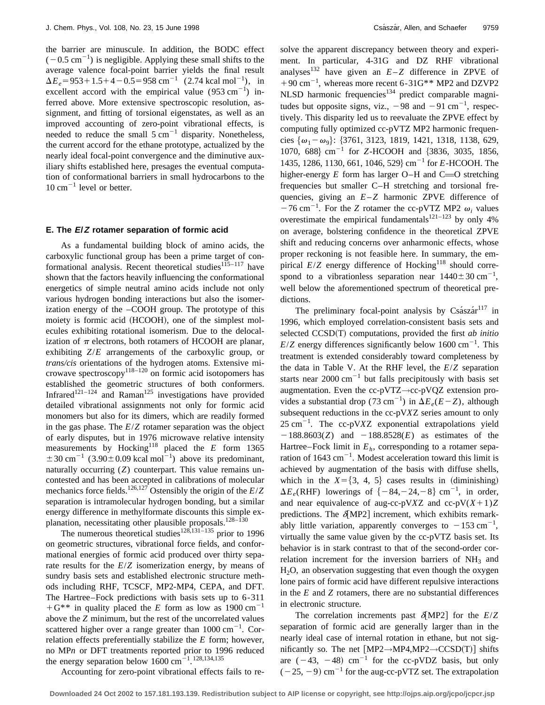the barrier are minuscule. In addition, the BODC effect  $(-0.5 \text{ cm}^{-1})$  is negligible. Applying these small shifts to the average valence focal-point barrier yields the final result  $\Delta E_e$  = 953 + 1.5 + 4 - 0.5 = 958 cm<sup>-1</sup> (2.74 kcal mol<sup>-1</sup>), in excellent accord with the empirical value  $(953 \text{ cm}^{-1})$  inferred above. More extensive spectroscopic resolution, assignment, and fitting of torsional eigenstates, as well as an improved accounting of zero-point vibrational effects, is needed to reduce the small  $5 \text{ cm}^{-1}$  disparity. Nonetheless, the current accord for the ethane prototype, actualized by the nearly ideal focal-point convergence and the diminutive auxiliary shifts established here, presages the eventual computation of conformational barriers in small hydrocarbons to the  $10 \text{ cm}^{-1}$  level or better.

# **E. The E/Z rotamer separation of formic acid**

As a fundamental building block of amino acids, the carboxylic functional group has been a prime target of conformational analysis. Recent theoretical studies $115-117$  have shown that the factors heavily influencing the conformational energetics of simple neutral amino acids include not only various hydrogen bonding interactions but also the isomerization energy of the –COOH group. The prototype of this moiety is formic acid (HCOOH), one of the simplest molecules exhibiting rotational isomerism. Due to the delocalization of  $\pi$  electrons, both rotamers of HCOOH are planar, exhibiting *Z*/*E* arrangements of the carboxylic group, or *trans/cis* orientations of the hydrogen atoms. Extensive microwave spectroscopy<sup>118–120</sup> on formic acid isotopomers has established the geometric structures of both conformers. Infrared<sup>121–124</sup> and Raman<sup>125</sup> investigations have provided detailed vibrational assignments not only for formic acid monomers but also for its dimers, which are readily formed in the gas phase. The *E*/*Z* rotamer separation was the object of early disputes, but in 1976 microwave relative intensity measurements by Hocking<sup>118</sup> placed the *E* form 1365  $\pm 30$  cm<sup>-1</sup> (3.90 $\pm$ 0.09 kcal mol<sup>-1</sup>) above its predominant, naturally occurring (*Z*) counterpart. This value remains uncontested and has been accepted in calibrations of molecular mechanics force fields.<sup>126,127</sup> Ostensibly the origin of the  $E/Z$ separation is intramolecular hydrogen bonding, but a similar energy difference in methylformate discounts this simple explanation, necessitating other plausible proposals.<sup>128–130</sup>

The numerous theoretical studies<sup>128,131–135</sup> prior to 1996 on geometric structures, vibrational force fields, and conformational energies of formic acid produced over thirty separate results for the *E*/*Z* isomerization energy, by means of sundry basis sets and established electronic structure methods including RHF, TCSCF, MP2-MP4, CEPA, and DFT. The Hartree–Fock predictions with basis sets up to 6-311  $+G^{**}$  in quality placed the *E* form as low as 1900 cm<sup>-1</sup> above the *Z* minimum, but the rest of the uncorrelated values scattered higher over a range greater than  $1000 \text{ cm}^{-1}$ . Correlation effects preferentially stabilize the *E* form; however, no MP*n* or DFT treatments reported prior to 1996 reduced the energy separation below  $1600 \text{ cm}^{-1}$ .  $128,134,135$ 

solve the apparent discrepancy between theory and experiment. In particular, 4-31G and DZ RHF vibrational analyses<sup>132</sup> have given an  $E-Z$  difference in ZPVE of  $+90$  cm<sup>-1</sup>, whereas more recent 6-31G<sup>\*\*</sup> MP2 and DZVP2 NLSD harmonic frequencies<sup>134</sup> predict comparable magnitudes but opposite signs, viz.,  $-98$  and  $-91$  cm<sup>-1</sup>, respectively. This disparity led us to reevaluate the ZPVE effect by computing fully optimized cc-pVTZ MP2 harmonic frequencies  $\{\omega_1-\omega_9\}$ : {3761, 3123, 1819, 1421, 1318, 1138, 629, 1070, 688} cm<sup>-1</sup> for *Z*-HCOOH and {3836, 3035, 1856, 1435, 1286, 1130, 661, 1046, 529} cm<sup>-1</sup> for *E*-HCOOH. The higher-energy  $E$  form has larger O–H and C $=$ O stretching frequencies but smaller C–H stretching and torsional frequencies, giving an  $E-Z$  harmonic ZPVE difference of  $-76$  cm<sup>-1</sup>. For the *Z* rotamer the cc-pVTZ MP2  $\omega_i$  values overestimate the empirical fundamentals $121-123$  by only 4% on average, bolstering confidence in the theoretical ZPVE shift and reducing concerns over anharmonic effects, whose proper reckoning is not feasible here. In summary, the empirical  $E/Z$  energy difference of Hocking<sup>118</sup> should correspond to a vibrationless separation near  $1440 \pm 30$  cm<sup>-1</sup>, well below the aforementioned spectrum of theoretical predictions.

The preliminary focal-point analysis by Császár<sup>117</sup> in 1996, which employed correlation-consistent basis sets and selected CCSD<sup>(T)</sup> computations, provided the first *ab initio*  $E/Z$  energy differences significantly below 1600 cm<sup>-1</sup>. This treatment is extended considerably toward completeness by the data in Table V. At the RHF level, the *E*/*Z* separation starts near  $2000 \text{ cm}^{-1}$  but falls precipitously with basis set augmentation. Even the cc-pVTZ*→*cc-pVQZ extension provides a substantial drop (73 cm<sup>-1</sup>) in  $\Delta E_e(E-Z)$ , although subsequent reductions in the cc-pV*X*Z series amount to only  $25 \text{ cm}^{-1}$ . The cc-pV*XZ* exponential extrapolations yield  $-188.8603(Z)$  and  $-188.8528(E)$  as estimates of the Hartree–Fock limit in  $E<sub>h</sub>$ , corresponding to a rotamer separation of  $1643 \text{ cm}^{-1}$ . Modest acceleration toward this limit is achieved by augmentation of the basis with diffuse shells, which in the  $X = \{3, 4, 5\}$  cases results in (diminishing)  $\Delta E_e$ (RHF) lowerings of  $\{-84, -24, -8\}$  cm<sup>-1</sup>, in order, and near equivalence of aug-cc-pV*X*Z and cc-pV $(X+1)Z$ predictions. The  $\delta$ MP2<sup> $\parallel$ </sup> increment, which exhibits remarkably little variation, apparently converges to  $-153$  cm<sup>-1</sup>, virtually the same value given by the cc-pVTZ basis set. Its behavior is in stark contrast to that of the second-order correlation increment for the inversion barriers of  $NH<sub>3</sub>$  and H2O, an observation suggesting that even though the oxygen lone pairs of formic acid have different repulsive interactions in the *E* and *Z* rotamers, there are no substantial differences in electronic structure.

The correlation increments past  $\delta$ [MP2] for the *E*/*Z* separation of formic acid are generally larger than in the nearly ideal case of internal rotation in ethane, but not significantly so. The net [MP2→MP4,MP2→CCSD(T)] shifts are  $(-43, -48)$  cm<sup>-1</sup> for the cc-pVDZ basis, but only  $(-25, -9)$  cm<sup>-1</sup> for the aug-cc-pVTZ set. The extrapolation

Accounting for zero-point vibrational effects fails to re-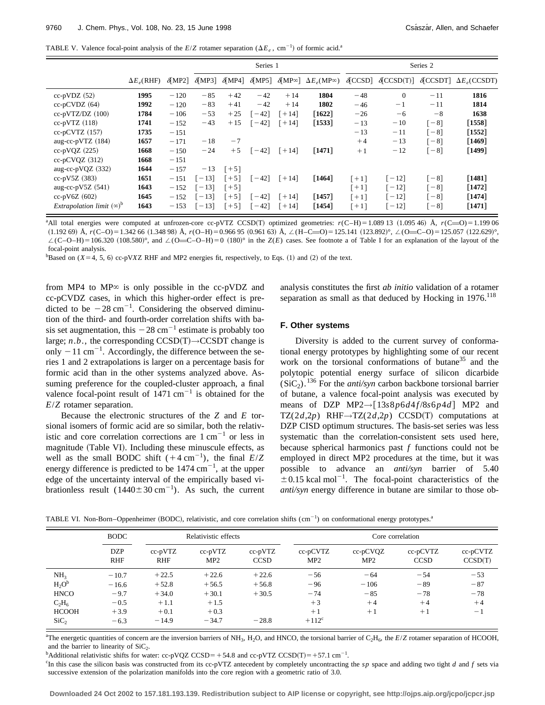TABLE V. Valence focal-point analysis of the  $E/Z$  rotamer separation ( $\Delta E_e$ , cm<sup>-1</sup>) of formic acid.<sup>a</sup>

|                                  |                    |               | Series 1      |               |               |               |                               |                |                   | Series <sub>2</sub> |                      |
|----------------------------------|--------------------|---------------|---------------|---------------|---------------|---------------|-------------------------------|----------------|-------------------|---------------------|----------------------|
|                                  | $\Delta E_e$ (RHF) | $\delta$ MP2] | $\delta$ MP3] | $\delta$ MP4] | $\delta$ MP5] | $\delta$ MP∞] | $\Delta E_e(\text{MP}\infty)$ | $\delta$ CCSD] | $\delta$ CCSD(T)] | $\delta$ CCSDT      | $\Delta E_c$ (CCSDT) |
| $cc-pVDZ(52)$                    | 1995               | $-120$        | $-85$         | $+42$         | $-42$         | $+14$         | 1804                          | $-48$          | $\Omega$          | $-11$               | 1816                 |
| $cc$ -p $CVDZ(64)$               | 1992               | $-120$        | $-83$         | $+41$         | $-42$         | $+14$         | 1802                          | $-46$          | $-1$              | $-11$               | 1814                 |
| $cc-pVTZ/DZ$ (100)               | 1784               | $-106$        | $-53$         | $+25$         | $-42$ ]       | $+14$ ]       | $[1622]$                      | $-26$          | $-6$              | $-8$                | 1638                 |
| $cc$ -pVTZ $(118)$               | 1741               | $-152$        | $-43$         | $+15$         | $-42]$        | $+14$ ]       | $[1533]$                      | $-13$          | $-10$             | $[-8]$              | $[1558]$             |
| $cc$ -pCVTZ $(157)$              | 1735               | $-151$        |               |               |               |               |                               | $-13$          | $-11$             | $-8$ ]              | $[1552]$             |
| aug-cc-pVTZ (184)                | 1657               | $-171$        | $-18$         | $-7$          |               |               |                               | $+4$           | $-13$             | $[-8]$              | $[1469]$             |
| $cc-pVQZ(225)$                   | 1668               | $-150$        | $-24$         | $+5$          | $[-42]$       | $+14$ ]       | $[1471]$                      | $+1$           | $-12$             | $[-8]$              | $[1499]$             |
| $cc-pCVQZ(312)$                  | 1668               | $-151$        |               |               |               |               |                               |                |                   |                     |                      |
| aug-cc-pVQZ $(332)$              | 1644               | $-157$        | $-13$         | $+5$ ]        |               |               |                               |                |                   |                     |                      |
| $cc-pV5Z(383)$                   | 1651               | $-151$        | $-13$ ]       | $+5$ ]        | $[-42]$       | $+14$ ]       | $[1464]$                      | $[+1]$         | $-12$ ]           | $[-8]$              | $[1481]$             |
| aug-cc-pV5Z (541)                | 1643               | $-152$        | $-13$ ]       | $+5$ ]        |               |               |                               | $+1$ ]         | $-12$ ]           | $[-8]$              | $[1472]$             |
| $cc-pV6Z(602)$                   | 1645               | $-152$        | $-13$ ]       | $+5$ ]        | $-42$ ]       | $+14$ ]       | $[1457]$                      | $[+1]$         | $-12$ ]           | $-8$ ]              | $[1474]$             |
| Extrapolation limit $(\infty)^b$ | 1643               | $-153$        | $-13$ ]       | $+5$ ]        | $-42]$        | $+14$ ]       | $[1454]$                      | $[+1]$         | $-12$ ]           | $[-8]$              | $[1471]$             |

<sup>a</sup>All total energies were computed at unfrozen-core cc-pVTZ CCSD(T) optimized geometries:  $r(C-H) = 1.089 13$  (1.095 46) Å,  $r(C=0) = 1.199 06$  $(1.192\,69)$  Å,  $r(C-O)=1.342\,66\,(1.348\,98)$  Å,  $r(O-H)=0.966\,95\,(0.961\,63)$  Å,  $\angle (H-C=O)=125.141\,(123.892)^\circ$ ,  $\angle (O=C-O)=125.057\,(122.629)^\circ$ ,  $\angle$ (C–O–H)=106.320 (108.580)°, and  $\angle$ (O=C–O–H)=0 (180)° in the *Z*(*E*) cases. See footnote a of Table I for an explanation of the layout of the focal-point analysis.

 $b$ Based on (*X*=4, 5, 6) cc-pV*XZ* RHF and MP2 energies fit, respectively, to Eqs. (1) and (2) of the text.

from MP4 to MP $\infty$  is only possible in the cc-pVDZ and cc-pCVDZ cases, in which this higher-order effect is predicted to be  $-28 \text{ cm}^{-1}$ . Considering the observed diminution of the third- and fourth-order correlation shifts with basis set augmentation, this  $-28 \text{ cm}^{-1}$  estimate is probably too large;  $n.b.$ , the corresponding  $CCSD(T) \rightarrow CCSDT$  change is only  $-11$  cm<sup>-1</sup>. Accordingly, the difference between the series 1 and 2 extrapolations is larger on a percentage basis for formic acid than in the other systems analyzed above. Assuming preference for the coupled-cluster approach, a final valence focal-point result of  $1471 \text{ cm}^{-1}$  is obtained for the *E*/*Z* rotamer separation.

Because the electronic structures of the *Z* and *E* torsional isomers of formic acid are so similar, both the relativistic and core correlation corrections are  $1 \text{ cm}^{-1}$  or less in magnitude (Table VI). Including these minuscule effects, as well as the small BODC shift  $(+4 \text{ cm}^{-1})$ , the final  $E/Z$ energy difference is predicted to be  $1474 \text{ cm}^{-1}$ , at the upper edge of the uncertainty interval of the empirically based vibrationless result  $(1440 \pm 30 \text{ cm}^{-1})$ . As such, the current analysis constitutes the first *ab initio* validation of a rotamer separation as small as that deduced by Hocking in 1976.<sup>118</sup>

## **F. Other systems**

Diversity is added to the current survey of conformational energy prototypes by highlighting some of our recent work on the torsional conformations of butane<sup>35</sup> and the polytopic potential energy surface of silicon dicarbide  $(SiC_2)$ .<sup>136</sup> For the *anti/syn* carbon backbone torsional barrier of butane, a valence focal-point analysis was executed by means of DZP MP2→[13*s*8*p*6*d*4*f*/8*s*6*p*4*d*] MP2 and TZ(2*d*,2*p*) RHF $\rightarrow$ TZ(2*d*,2*p*) CCSD(T) computations at DZP CISD optimum structures. The basis-set series was less systematic than the correlation-consistent sets used here, because spherical harmonics past *f* functions could not be employed in direct MP2 procedures at the time, but it was possible to advance an *anti/syn* barrier of 5.40  $\pm$  0.15 kcal mol<sup>-1</sup>. The focal-point characteristics of the *anti/syn* energy difference in butane are similar to those ob-

TABLE VI. Non-Born–Oppenheimer (BODC), relativistic, and core correlation shifts (cm<sup>-1</sup>) on conformational energy prototypes.<sup>a</sup>

|                  | <b>BODC</b>              |                             | Relativistic effects             |                              |                                   | Core correlation       |                               |                           |  |  |  |
|------------------|--------------------------|-----------------------------|----------------------------------|------------------------------|-----------------------------------|------------------------|-------------------------------|---------------------------|--|--|--|
|                  | <b>DZP</b><br><b>RHF</b> | $cc$ -p $VTZ$<br><b>RHF</b> | $cc$ -p $VTZ$<br>MP <sub>2</sub> | $cc$ -p $VTZ$<br><b>CCSD</b> | $cc$ - $pCVTZ$<br>MP <sub>2</sub> | $cc$ - $p$ CVOZ<br>MP2 | $cc$ -p $CVTZ$<br><b>CCSD</b> | $cc$ -p $CVTZ$<br>CCSD(T) |  |  |  |
| NH <sub>3</sub>  | $-10.7$                  | $+22.5$                     | $+22.6$                          | $+22.6$                      | $-56$                             | $-64$                  | $-54$                         | $-53$                     |  |  |  |
| $H_2O^b$         | $-16.6$                  | $+52.8$                     | $+56.5$                          | $+56.8$                      | $-96$                             | $-106$                 | $-89$                         | $-87$                     |  |  |  |
| <b>HNCO</b>      | $-9.7$                   | $+34.0$                     | $+30.1$                          | $+30.5$                      | $-74$                             | $-85$                  | $-78$                         | $-78$                     |  |  |  |
| $C_2H_6$         | $-0.5$                   | $+1.1$                      | $+1.5$                           |                              | $+3$                              | $+4$                   | $+4$                          | $+4$                      |  |  |  |
| <b>HCOOH</b>     | $+3.9$                   | $+0.1$                      | $+0.3$                           |                              | $+1$                              | $+1$                   | $+1$                          | $-1$                      |  |  |  |
| SiC <sub>2</sub> | $-6.3$                   | $-14.9$                     | $-34.7$                          | $-28.8$                      | $+112^{\circ}$                    |                        |                               |                           |  |  |  |

<sup>a</sup>The energetic quantities of concern are the inversion barriers of NH<sub>3</sub>, H<sub>2</sub>O, and HNCO, the torsional barrier of C<sub>2</sub>H<sub>6</sub>, the *E*/*Z* rotamer separation of HCOOH, and the barrier to linearity of  $\text{SiC}_2$ .

Additional relativistic shifts for water: cc-pVQZ CCSD= +54.8 and cc-pVTZ CCSD(T)= +57.1 cm<sup>-1</sup>.

<sup>c</sup>In this case the silicon basis was constructed from its cc-pVTZ antecedent by completely uncontracting the  $sp$  space and adding two tight *d* and *f* sets via successive extension of the polarization manifolds into the core region with a geometric ratio of 3.0.

**Downloaded 24 Oct 2002 to 157.181.193.139. Redistribution subject to AIP license or copyright, see http://ojps.aip.org/jcpo/jcpcr.jsp**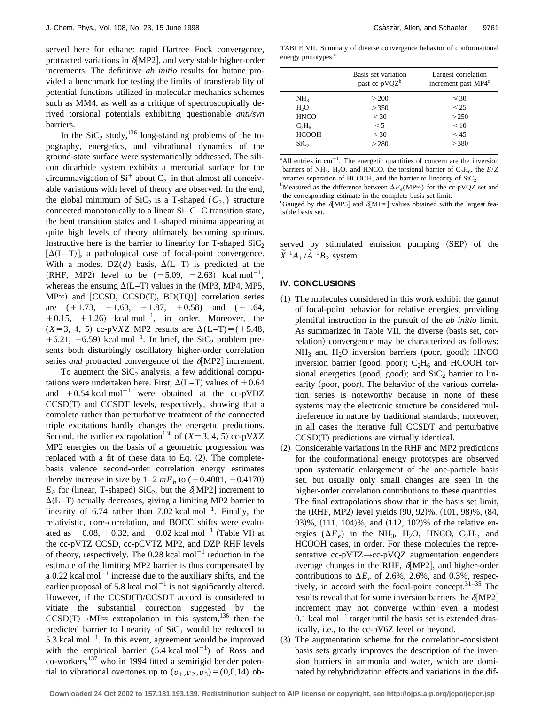served here for ethane: rapid Hartree–Fock convergence, protracted variations in  $\delta$ [MP2], and very stable higher-order increments. The definitive *ab initio* results for butane provided a benchmark for testing the limits of transferability of potential functions utilized in molecular mechanics schemes such as MM4, as well as a critique of spectroscopically derived torsional potentials exhibiting questionable *anti/syn* barriers.

In the  $\text{SiC}_2$  study,<sup>136</sup> long-standing problems of the topography, energetics, and vibrational dynamics of the ground-state surface were systematically addressed. The silicon dicarbide system exhibits a mercurial surface for the circumnavigation of  $Si^+$  about  $C_2^-$  in that almost all conceivable variations with level of theory are observed. In the end, the global minimum of  $\text{SiC}_2$  is a T-shaped ( $C_{2v}$ ) structure connected monotonically to a linear Si–C–C transition state, the bent transition states and L-shaped minima appearing at quite high levels of theory ultimately becoming spurious. Instructive here is the barrier to linearity for T-shaped  $\text{SiC}_2$  $[\Delta(L-T)]$ , a pathological case of focal-point convergence. With a modest  $DZ(d)$  basis,  $\Delta(L-T)$  is predicted at the (RHF, MP2) level to be  $(-5.09, +2.63)$  kcal mol<sup>-1</sup>, whereas the ensuing  $\Delta(L-T)$  values in the (MP3, MP4, MP5,  $MP^{\infty}$ ) and [CCSD, CCSD(T), BD(TQ)] correlation series are  $(+1.73, -1.63, +1.87, +0.58)$  and  $(+1.64,$  $+0.15$ ,  $+1.26$ ) kcal mol<sup>-1</sup>, in order. Moreover, the  $(X=3, 4, 5)$  cc-pV*XZ* MP2 results are  $\Delta(L-T) = (+5.48, 5.48)$ +6.21, +6.59) kcal mol<sup>-1</sup>. In brief, the SiC<sub>2</sub> problem presents both disturbingly oscillatory higher-order correlation series *and* protracted convergence of the  $\delta$ MP2 increment.

To augment the  $\text{SiC}_2$  analysis, a few additional computations were undertaken here. First,  $\Delta(L-T)$  values of  $+0.64$ and  $+0.54$  kcal mol<sup>-1</sup> were obtained at the cc-pVDZ  $CCSD(T)$  and  $CCSDT$  levels, respectively, showing that a complete rather than perturbative treatment of the connected triple excitations hardly changes the energetic predictions. Second, the earlier extrapolation<sup>136</sup> of  $(X=3, 4, 5)$  cc-pV*XZ* MP2 energies on the basis of a geometric progression was replaced with a fit of these data to Eq.  $(2)$ . The completebasis valence second-order correlation energy estimates thereby increase in size by  $1-2 mE_h$  to  $(-0.4081, -0.4170)$  $E_h$  for (linear, T-shaped) SiC<sub>2</sub>, but the  $\delta$ [MP2] increment to  $\Delta$ (L–T) actually decreases, giving a limiting MP2 barrier to linearity of 6.74 rather than 7.02 kcal mol<sup>-1</sup>. Finally, the relativistic, core-correlation, and BODC shifts were evaluated as  $-0.08$ ,  $+0.32$ , and  $-0.02$  kcal mol<sup>-1</sup> (Table VI) at the cc-pVTZ CCSD, cc-pCVTZ MP2, and DZP RHF levels of theory, respectively. The 0.28 kcal mol<sup> $-1$ </sup> reduction in the estimate of the limiting MP2 barrier is thus compensated by a 0.22 kcal mol<sup> $-1$ </sup> increase due to the auxiliary shifts, and the earlier proposal of 5.8 kcal mol<sup> $-1$ </sup> is not significantly altered. However, if the  $CCSD(T)/CCSDT$  accord is considered to vitiate the substantial correction suggested by the  $CCSD(T) \rightarrow MP^{\infty}$  extrapolation in this system,<sup>136</sup> then the predicted barrier to linearity of  $SiC_2$  would be reduced to 5.3 kcal mol<sup> $-1$ </sup>. In this event, agreement would be improved with the empirical barrier  $(5.4 \text{ kcal mol}^{-1})$  of Ross and co-workers,<sup>137</sup> who in 1994 fitted a semirigid bender potential to vibrational overtones up to  $(v_1, v_2, v_3)=(0,0,14)$  ob-

TABLE VII. Summary of diverse convergence behavior of conformational energy prototypes.<sup>a</sup>

| Basis set variation<br>past cc-pVQZ <sup>b</sup> | Largest correlation<br>increment past MP4 <sup>c</sup> |
|--------------------------------------------------|--------------------------------------------------------|
| >200                                             | $\leq 30$                                              |
| >350                                             | < 25                                                   |
| $<$ 30                                           | >250                                                   |
| $<$ 5                                            | < 10                                                   |
| $<$ 30                                           | $<$ 45                                                 |
| >280                                             | >380                                                   |
|                                                  |                                                        |

 $^{\circ}$ All entries in cm<sup>-1</sup>. The energetic quantities of concern are the inversion barriers of NH<sub>3</sub>, H<sub>2</sub>O, and HNCO, the torsional barrier of  $C_2H_6$ , the  $E/Z$ rotamer separation of HCOOH, and the barrier to linearity of  $SiC<sub>2</sub>$ .

<sup>b</sup>Measured as the difference between  $\Delta E_e$ (MP $\infty$ ) for the cc-pVQZ set and the corresponding estimate in the complete basis set limit.

<sup>c</sup>Gauged by the  $\delta$ [MP5] and  $\delta$ [MP∞] values obtained with the largest feasible basis set.

served by stimulated emission pumping (SEP) of the  $\widetilde{X}^{-1}A_1/\widetilde{A}^{-1}B_2$  system.

# **IV. CONCLUSIONS**

- $(1)$  The molecules considered in this work exhibit the gamut of focal-point behavior for relative energies, providing plentiful instruction in the pursuit of the *ab initio* limit. As summarized in Table VII, the diverse (basis set, correlation) convergence may be characterized as follows:  $NH<sub>3</sub>$  and  $H<sub>2</sub>O$  inversion barriers (poor, good); HNCO inversion barrier (good, poor);  $C_2H_6$  and HCOOH torsional energetics (good, good); and  $\text{SiC}_2$  barrier to linearity (poor, poor). The behavior of the various correlation series is noteworthy because in none of these systems may the electronic structure be considered multireference in nature by traditional standards; moreover, in all cases the iterative full CCSDT and perturbative  $CCSD(T)$  predictions are virtually identical.
- $(2)$  Considerable variations in the RHF and MP2 predictions for the conformational energy prototypes are observed upon systematic enlargement of the one-particle basis set, but usually only small changes are seen in the higher-order correlation contributions to these quantities. The final extrapolations show that in the basis set limit, the  $(RHF, MP2)$  level yields  $(90, 92)\%$ ,  $(101, 98)\%$ ,  $(84, 92)\%$ 93)%,  $(111, 104)$ %, and  $(112, 102)$ % of the relative energies  $(\Delta E_e)$  in the NH<sub>3</sub>, H<sub>2</sub>O, HNCO, C<sub>2</sub>H<sub>6</sub>, and HCOOH cases, in order. For these molecules the representative cc-pVTZ*→*cc-pVQZ augmentation engenders average changes in the RHF,  $\delta$ MP2, and higher-order contributions to  $\Delta E_e$  of 2.6%, 2.6%, and 0.3%, respectively, in accord with the focal-point concept. $31-35$  The results reveal that for some inversion barriers the  $\delta$ [MP2] increment may not converge within even a modest 0.1 kcal mol<sup> $-1$ </sup> target until the basis set is extended drastically, i.e., to the cc-pV6Z level or beyond.
- ~3! The augmentation scheme for the correlation-consistent basis sets greatly improves the description of the inversion barriers in ammonia and water, which are dominated by rehybridization effects and variations in the dif-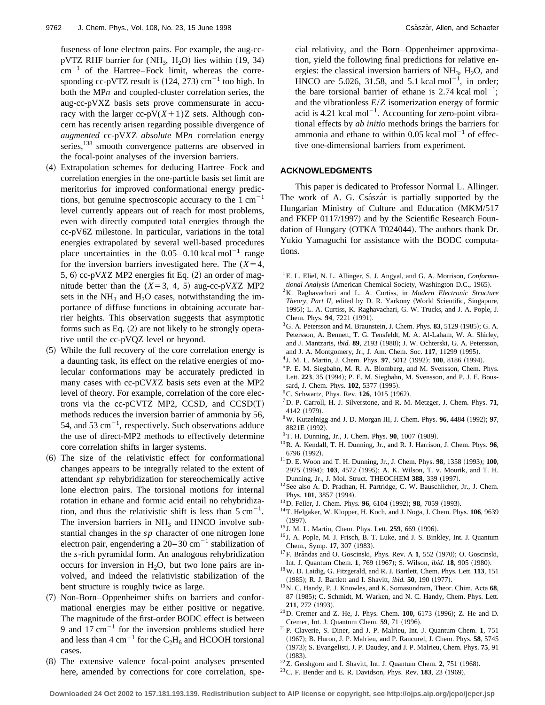fuseness of lone electron pairs. For example, the aug-ccpVTZ RHF barrier for  $(NH_3, H_2O)$  lies within  $(19, 34)$  $cm^{-1}$  of the Hartree–Fock limit, whereas the corresponding cc-pVTZ result is  $(124, 273)$  cm<sup>-1</sup> too high. In both the MP*n* and coupled-cluster correlation series, the aug-cc-pVXZ basis sets prove commensurate in accuracy with the larger cc-pV $(X+1)Z$  sets. Although concern has recently arisen regarding possible divergence of *augmented* cc-pV*X*Z *absolute* MP*n* correlation energy series,<sup>138</sup> smooth convergence patterns are observed in the focal-point analyses of the inversion barriers.

- ~4! Extrapolation schemes for deducing Hartree–Fock and correlation energies in the one-particle basis set limit are meritorius for improved conformational energy predictions, but genuine spectroscopic accuracy to the  $1 \text{ cm}^{-1}$ level currently appears out of reach for most problems, even with directly computed total energies through the cc-pV6Z milestone. In particular, variations in the total energies extrapolated by several well-based procedures place uncertainties in the  $0.05-0.10$  kcal mol<sup>-1</sup> range for the inversion barriers investigated here. The  $(X=4,$ 5, 6) cc-pV $XZ$  MP2 energies fit Eq.  $(2)$  an order of magnitude better than the  $(X=3, 4, 5)$  aug-cc-pV*X*Z MP2 sets in the  $NH_3$  and  $H_2O$  cases, notwithstanding the importance of diffuse functions in obtaining accurate barrier heights. This observation suggests that asymptotic forms such as Eq.  $(2)$  are not likely to be strongly operative until the cc-pVQZ level or beyond.
- $(5)$  While the full recovery of the core correlation energy is a daunting task, its effect on the relative energies of molecular conformations may be accurately predicted in many cases with cc-pCV*X*Z basis sets even at the MP2 level of theory. For example, correlation of the core electrons via the  $cc$ -pCVTZ MP2, CCSD, and  $CCSD(T)$ methods reduces the inversion barrier of ammonia by 56, 54, and 53  $\text{cm}^{-1}$ , respectively. Such observations adduce the use of direct-MP2 methods to effectively determine core correlation shifts in larger systems.
- $(6)$  The size of the relativistic effect for conformational changes appears to be integrally related to the extent of attendant *sp* rehybridization for stereochemically active lone electron pairs. The torsional motions for internal rotation in ethane and formic acid entail no rehybridization, and thus the relativistic shift is less than  $5 \text{ cm}^{-1}$ . The inversion barriers in  $NH<sub>3</sub>$  and HNCO involve substantial changes in the *sp* character of one nitrogen lone electron pair, engendering a  $20-30$  cm<sup>-1</sup> stabilization of the *s*-rich pyramidal form. An analogous rehybridization occurs for inversion in  $H_2O$ , but two lone pairs are involved, and indeed the relativistic stabilization of the bent structure is roughly twice as large.
- (7) Non-Born–Oppenheimer shifts on barriers and conformational energies may be either positive or negative. The magnitude of the first-order BODC effect is between 9 and 17  $cm^{-1}$  for the inversion problems studied here and less than 4 cm<sup>-1</sup> for the  $C_2H_6$  and HCOOH torsional cases.

cial relativity, and the Born–Oppenheimer approximation, yield the following final predictions for relative energies: the classical inversion barriers of  $NH<sub>3</sub>$ ,  $H<sub>2</sub>O$ , and HNCO are 5.026, 31.58, and 5.1 kcal mol<sup>-1</sup>, in order; the bare torsional barrier of ethane is 2.74 kcal mol<sup>-1</sup>; and the vibrationless *E*/*Z* isomerization energy of formic acid is 4.21 kcal mol<sup> $-1$ </sup>. Accounting for zero-point vibrational effects by *ab initio* methods brings the barriers for ammonia and ethane to within  $0.05$  kcal mol<sup>-1</sup> of effective one-dimensional barriers from experiment.

# **ACKNOWLEDGMENTS**

This paper is dedicated to Professor Normal L. Allinger. The work of A. G. Császár is partially supported by the Hungarian Ministry of Culture and Education (MKM/517 and FKFP 0117/1997) and by the Scientific Research Foundation of Hungary (OTKA T024044). The authors thank Dr. Yukio Yamaguchi for assistance with the BODC computations.

- <sup>1</sup> E. L. Eliel, N. L. Allinger, S. J. Angyal, and G. A. Morrison, *Conformational Analysis* (American Chemical Society, Washington D.C., 1965).
- 2K. Raghavachari and L. A. Curtiss, in *Modern Electronic Structure Theory, Part II, edited by D. R. Yarkony (World Scientific, Singapore,* 1995); L. A. Curtiss, K. Raghavachari, G. W. Trucks, and J. A. Pople, J. Chem. Phys. 94, 7221 (1991).
- ${}^{3}$ G. A. Petersson and M. Braunstein, J. Chem. Phys. 83, 5129 (1985); G. A. Petersson, A. Bennett, T. G. Tensfeldt, M. A. Al-Laham, W. A. Shirley, and J. Mantzaris, *ibid.* 89, 2193 (1988); J. W. Ochterski, G. A. Petersson, and J. A. Montgomery, Jr., J. Am. Chem. Soc. 117, 11299 (1995).
- <sup>4</sup> J. M. L. Martin, J. Chem. Phys. **97**, 5012 (1992); **100**, 8186 (1994).
- <sup>5</sup>P. E. M. Siegbahn, M. R. A. Blomberg, and M. Svensson, Chem. Phys. Lett. 223, 35 (1994); P. E. M. Siegbahn, M. Svensson, and P. J. E. Boussard, J. Chem. Phys. 102, 5377 (1995).
- <sup>6</sup>C. Schwartz, Phys. Rev. **126**, 1015 (1962).
- 7D. P. Carroll, H. J. Silverstone, and R. M. Metzger, J. Chem. Phys. **71**, 4142 (1979).
- 8W. Kutzelnigg and J. D. Morgan III, J. Chem. Phys. **96**, 4484 ~1992!; **97**, 8821E (1992).
- <sup>9</sup>T. H. Dunning, Jr., J. Chem. Phys. **90**, 1007 (1989).
- 10R. A. Kendall, T. H. Dunning, Jr., and R. J. Harrison, J. Chem. Phys. **96**, 6796 (1992).
- <sup>11</sup> D. E. Woon and T. H. Dunning, Jr., J. Chem. Phys. **98**, 1358 (1993); **100**, 2975 (1994); 103, 4572 (1995); A. K. Wilson, T. v. Mourik, and T. H. Dunning, Jr., J. Mol. Struct. THEOCHEM 388, 339 (1997).
- <sup>12</sup> See also A. D. Pradhan, H. Partridge, C. W. Bauschlicher, Jr., J. Chem. Phys. 101, 3857 (1994).
- <sup>13</sup>D. Feller, J. Chem. Phys. **96**, 6104 (1992); **98**, 7059 (1993).
- 14T. Helgaker, W. Klopper, H. Koch, and J. Noga, J. Chem. Phys. **106**, 9639  $(1997).$
- <sup>15</sup> J. M. L. Martin, Chem. Phys. Lett. **259**, 669 (1996).
- <sup>16</sup> J. A. Pople, M. J. Frisch, B. T. Luke, and J. S. Binkley, Int. J. Quantum Chem., Symp. 17, 307 (1983).
- <sup>17</sup>F. Brändas and O. Goscinski, Phys. Rev. A 1, 552 (1970); O. Goscinski, Int. J. Quantum Chem. 1, 769 (1967); S. Wilson, *ibid.* 18, 905 (1980).
- 18W. D. Laidig, G. Fitzgerald, and R. J. Bartlett, Chem. Phys. Lett. **113**, 151 (1985); R. J. Bartlett and I. Shavitt, *ibid.* **50**, 190 (1977).
- 19N. C. Handy, P. J. Knowles, and K. Somasundram, Theor. Chim. Acta **68**, 87 (1985); C. Schmidt, M. Warken, and N. C. Handy, Chem. Phys. Lett. **211**, 272 (1993).
- <sup>20</sup>D. Cremer and Z. He, J. Phys. Chem. **100**, 6173 (1996); Z. He and D. Cremer, Int. J. Quantum Chem. 59, 71 (1996).
- 21P. Claverie, S. Diner, and J. P. Malrieu, Int. J. Quantum Chem. **1**, 751 ~1967!; B. Huron, J. P. Malrieu, and P. Rancurel, J. Chem. Phys. **58**, 5745 ~1973!; S. Evangelisti, J. P. Daudey, and J. P. Malrieu, Chem. Phys. **75**, 91  $(1983).$
- ~8! The extensive valence focal-point analyses presented here, amended by corrections for core correlation, spe-
- $22$ Z. Gershgorn and I. Shavitt, Int. J. Quantum Chem. 2, 751  $(1968)$ .
- $^{23}$ C. F. Bender and E. R. Davidson, Phys. Rev. **183**, 23 (1969).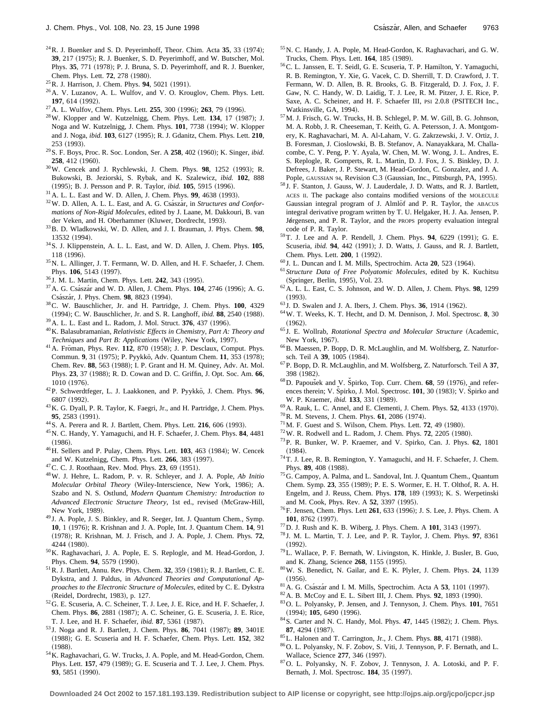- $^{24}$  R. J. Buenker and S. D. Peyerimhoff, Theor. Chim. Acta 35, 33  $(1974)$ ; **39**, 217 (1975); R. J. Buenker, S. D. Peyerimhoff, and W. Butscher, Mol. Phys. 35, 771 (1978); P. J. Bruna, S. D. Peyerimhoff, and R. J. Buenker, Chem. Phys. Lett. **72**, 278 (1980).
- <sup>25</sup> R. J. Harrison, J. Chem. Phys. **94**, 5021 (1991).
- <sup>26</sup>A. V. Luzanov, A. L. Wulfov, and V. O. Krouglov, Chem. Phys. Lett. **197**, 614 (1992).
- <sup>27</sup> A. L. Wulfov, Chem. Phys. Lett. **255**, 300 (1996); **263**, 79 (1996).
- <sup>28</sup>W. Klopper and W. Kutzelnigg, Chem. Phys. Lett. **134**, 17 (1987); J. Noga and W. Kutzelnigg, J. Chem. Phys. 101, 7738 (1994); W. Klopper and J. Noga, *ibid.* **103**, 6127 (1995); R. J. Gdanitz, Chem. Phys. Lett. **210**, 253 (1993).
- <sup>29</sup> S. F. Boys, Proc. R. Soc. London, Ser. A **258**, 402 (1960); K. Singer, *ibid.* **258**, 412 (1960).
- <sup>30</sup>W. Cencek and J. Rychlewski, J. Chem. Phys. 98, 1252 (1993); R. Bukowski, B. Jeziorski, S. Rybak, and K. Szalewicz, *ibid.* **102**, 888 (1995); B. J. Persson and P. R. Taylor, *ibid.* **105**, 5915 (1996).
- <sup>31</sup> A. L. L. East and W. D. Allen, J. Chem. Phys. **99**, 4638 (1993).
- <sup>32</sup> W. D. Allen, A. L. L. East, and A. G. Császár, in *Structures and Conformations of Non-Rigid Molecules*, edited by J. Laane, M. Dakkouri, B. van der Veken, and H. Oberhammer (Kluwer, Dordrecht, 1993).
- 33B. D. Wladkowski, W. D. Allen, and J. I. Brauman, J. Phys. Chem. **98**, 13532 (1994).
- 34S. J. Klippenstein, A. L. L. East, and W. D. Allen, J. Chem. Phys. **105**, 118 (1996).
- 35N. L. Allinger, J. T. Fermann, W. D. Allen, and H. F. Schaefer, J. Chem. Phys. 106, 5143 (1997).
- <sup>36</sup> J. M. L. Martin, Chem. Phys. Lett. **242**, 343 (1995).
- <sup>37</sup> A. G. Császár and W. D. Allen, J. Chem. Phys. **104**, 2746 (1996); A. G. Császár, J. Phys. Chem. 98, 8823 (1994).
- 38C. W. Bauschlicher, Jr. and H. Partridge, J. Chem. Phys. **100**, 4329 (1994); C. W. Bauschlicher, Jr. and S. R. Langhoff, *ibid.* 88, 2540 (1988).
- <sup>39</sup> A. L. L. East and L. Radom, J. Mol. Struct. **376**, 437 (1996).
- 40K. Balasubramanian, *Relativistic Effects in Chemistry, Part A: Theory and Techniques* and *Part B: Applications* (Wiley, New York, 1997).
- <sup>41</sup> A. Froman, Phys. Rev. 112, 870 (1958); J. P. Desclaux, Comput. Phys. Commun. 9, 31 (1975); P. Pyykkö, Adv. Quantum Chem. 11, 353 (1978); Chem. Rev. 88, 563 (1988); I. P. Grant and H. M. Quiney, Adv. At. Mol. Phys. 23, 37 (1988); R. D. Cowan and D. C. Griffin, J. Opt. Soc. Am. 66, 1010 (1976).
- <sup>42</sup>P. Schwerdtfeger, L. J. Laakkonen, and P. Pyykkö, J. Chem. Phys. 96, 6807 (1992).
- 43K. G. Dyall, P. R. Taylor, K. Faegri, Jr., and H. Partridge, J. Chem. Phys. **95**, 2583 (1991).
- <sup>44</sup> S. A. Perera and R. J. Bartlett, Chem. Phys. Lett. **216**, 606 (1993).
- 45N. C. Handy, Y. Yamaguchi, and H. F. Schaefer, J. Chem. Phys. **84**, 4481  $(1986).$
- <sup>46</sup>H. Sellers and P. Pulay, Chem. Phys. Lett. **103**, 463 (1984); W. Cencek and W. Kutzelnigg, Chem. Phys. Lett. **266**, 383 (1997).
- <sup>47</sup> C. C. J. Roothaan, Rev. Mod. Phys. **23**, 69 (1951).
- 48W. J. Hehre, L. Radom, P. v. R. Schleyer, and J. A. Pople, *Ab Initio Molecular Orbital Theory* (Wiley-Interscience, New York, 1986); A. Szabo and N. S. Ostlund, *Modern Quantum Chemistry: Introduction to* Advanced Electronic Structure Theory, 1st ed., revised (McGraw-Hill, New York, 1989).
- <sup>49</sup> J. A. Pople, J. S. Binkley, and R. Seeger, Int. J. Quantum Chem., Symp. **10**, 1 (1976); R. Krishnan and J. A. Pople, Int. J. Quantum Chem. **14**, 91 ~1978!; R. Krishnan, M. J. Frisch, and J. A. Pople, J. Chem. Phys. **72**, 4244 (1980).
- 50K. Raghavachari, J. A. Pople, E. S. Replogle, and M. Head-Gordon, J. Phys. Chem. 94, 5579 (1990).
- <sup>51</sup> R. J. Bartlett, Annu. Rev. Phys. Chem. **32**, 359 (1981); R. J. Bartlett, C. E. Dykstra, and J. Paldus, in *Advanced Theories and Computational Approaches to the Electronic Structure of Molecules*, edited by C. E. Dykstra (Reidel, Dordrecht, 1983), p. 127.
- 52G. E. Scuseria, A. C. Scheiner, T. J. Lee, J. E. Rice, and H. F. Schaefer, J. Chem. Phys. 86, 2881 (1987); A. C. Scheiner, G. E. Scuseria, J. E. Rice, T. J. Lee, and H. F. Schaefer, *ibid.* 87, 5361 (1987).
- <sup>53</sup> J. Noga and R. J. Bartlett, J. Chem. Phys. **86**, 7041 (1987); **89**, 3401E ~1988!; G. E. Scuseria and H. F. Schaefer, Chem. Phys. Lett. **152**, 382  $(1988).$
- 54K. Raghavachari, G. W. Trucks, J. A. Pople, and M. Head-Gordon, Chem. Phys. Lett. 157, 479 (1989); G. E. Scuseria and T. J. Lee, J. Chem. Phys. 93, 5851 (1990).
- 55N. C. Handy, J. A. Pople, M. Head-Gordon, K. Raghavachari, and G. W. Trucks, Chem. Phys. Lett. **164**, 185 (1989).
- 56C. L. Janssen, E. T. Seidl, G. E. Scuseria, T. P. Hamilton, Y. Yamaguchi, R. B. Remington, Y. Xie, G. Vacek, C. D. Sherrill, T. D. Crawford, J. T. Fermann, W. D. Allen, B. R. Brooks, G. B. Fitzgerald, D. J. Fox, J. F. Gaw, N. C. Handy, W. D. Laidig, T. J. Lee, R. M. Pitzer, J. E. Rice, P. Saxe, A. C. Scheiner, and H. F. Schaefer III, PSI 2.0.8 (PSITECH Inc., Watkinsville, GA, 1994).
- $^{57}\mathrm{M}$ . J. Frisch, G. W. Trucks, H. B. Schlegel, P. M. W. Gill, B. G. Johnson, M. A. Robb, J. R. Cheeseman, T. Keith, G. A. Petersson, J. A. Montgomery, K. Raghavachari, M. A. Al-Laham, V. G. Zakrzewski, J. V. Ortiz, J. B. Foresman, J. Cioslowski, B. B. Stefanov, A. Nanayakkara, M. Challacombe, C. Y. Peng, P. Y. Ayala, W. Chen, M. W. Wong, J. L. Andres, E. S. Replogle, R. Gomperts, R. L. Martin, D. J. Fox, J. S. Binkley, D. J. Defrees, J. Baker, J. P. Stewart, M. Head-Gordon, C. Gonzalez, and J. A. Pople, GAUSSIAN 94, Revision C.3 (Gaussian, Inc., Pittsburgh, PA, 1995).
- <sup>58</sup> J. F. Stanton, J. Gauss, W. J. Lauderdale, J. D. Watts, and R. J. Bartlett, ACES II. The package also contains modified versions of the MOLECULE Gaussian integral program of J. Almlöf and P. R. Taylor, the ABACUS integral derivative program written by T. U. Helgaker, H. J. Aa. Jensen, P. Jørgensen, and P. R. Taylor, and the PROPS property evaluation integral code of P. R. Taylor.
- <sup>59</sup> T. J. Lee and A. P. Rendell, J. Chem. Phys. **94**, 6229 (1991); G. E. Scuseria, *ibid.* 94, 442 (1991); J. D. Watts, J. Gauss, and R. J. Bartlett, Chem. Phys. Lett. **200**, 1 (1992).
- $60$  J. L. Duncan and I. M. Mills, Spectrochim. Acta  $20$ , 523 (1964).
- <sup>61</sup> *Structure Data of Free Polyatomic Molecules*, edited by K. Kuchitsu (Springer, Berlin, 1995), Vol. 23.
- 62A. L. L. East, C. S. Johnson, and W. D. Allen, J. Chem. Phys. **98**, 1299  $(1993).$
- <sup>63</sup> J. D. Swalen and J. A. Ibers, J. Chem. Phys. **36**, 1914 (1962).
- 64W. T. Weeks, K. T. Hecht, and D. M. Dennison, J. Mol. Spectrosc. **8**, 30  $(1962)$ .
- <sup>65</sup> J. E. Wollrab, *Rotational Spectra and Molecular Structure* (Academic, New York, 1967).
- 66B. Maessen, P. Bopp, D. R. McLaughlin, and M. Wolfsberg, Z. Naturforsch. Teil A 39, 1005 (1984).
- 67P. Bopp, D. R. McLaughlin, and M. Wolfsberg, Z. Naturforsch. Teil A **37**,
- 398 (1982).<br><sup>68</sup>D. Papoušek and V. Špirko, Top. Curr. Chem. **68**, 59 (1976), and references therein; V. Spirko, J. Mol. Spectrosc. 101, 30 (1983); V. Spirko and W. P. Kraemer, *ibid.* **133**, 331 (1989).
- <sup>69</sup> A. Rauk, L. C. Annel, and E. Clementi, J. Chem. Phys. **52**, 4133 (1970).
- <sup>70</sup> R. M. Stevens, J. Chem. Phys. **61**, 2086 (1974).
- $71$  M. F. Guest and S. Wilson, Chem. Phys. Lett. **72**, 49 (1980).
- <sup>72</sup> W. R. Rodwell and L. Radom, J. Chem. Phys. **72**, 2205 (1980).
- 73P. R. Bunker, W. P. Kraemer, and V. Spirko, Can. J. Phys. **62**, 1801  $(1984).$
- 74T. J. Lee, R. B. Remington, Y. Yamaguchi, and H. F. Schaefer, J. Chem. Phys. 89, 408 (1988).
- <sup>75</sup> G. Campoy, A. Palma, and L. Sandoval, Int. J. Quantum Chem., Quantum Chem. Symp. 23, 355 (1989); P. E. S. Wormer, E. H. T. Olthof, R. A. H. Engelm, and J. Reuss, Chem. Phys. 178, 189 (1993); K. S. Werpetinski and M. Cook, Phys. Rev. A 52, 3397 (1995).
- <sup>76</sup>F. Jensen, Chem. Phys. Lett **261**, 633 (1996); J. S. Lee, J. Phys. Chem. A **101**, 8762 (1997).
- $^{77}$  D. J. Rush and K. B. Wiberg, J. Phys. Chem. A  $101$ , 3143 (1997).
- <sup>78</sup> J. M. L. Martin, T. J. Lee, and P. R. Taylor, J. Chem. Phys. **97**, 8361  $(1992).$
- 79L. Wallace, P. F. Bernath, W. Livingston, K. Hinkle, J. Busler, B. Guo, and K. Zhang, Science 268, 1155 (1995).
- 80W. S. Benedict, N. Gailar, and E. K. Plyler, J. Chem. Phys. **24**, 1139  $(1956).$
- <sup>81</sup> A. G. Császár and I. M. Mills, Spectrochim. Acta A 53, 1101 (1997).
- <sup>82</sup> A. B. McCoy and E. L. Sibert III, J. Chem. Phys. **92**, 1893 (1990).
- 83O. L. Polyansky, P. Jensen, and J. Tennyson, J. Chem. Phys. **101**, 7651 (1994); **105**, 6490 (1996).
- <sup>84</sup> S. Carter and N. C. Handy, Mol. Phys. **47**, 1445 (1982); J. Chem. Phys. 87, 4294 (1987).
- <sup>85</sup>L. Halonen and T. Carrington, Jr., J. Chem. Phys. **88**, 4171 (1988).
- 86O. L. Polyansky, N. F. Zobov, S. Viti, J. Tennyson, P. F. Bernath, and L. Wallace, Science 277, 346 (1997).
- 87O. L. Polyansky, N. F. Zobov, J. Tennyson, J. A. Lotoski, and P. F. Bernath, J. Mol. Spectrosc. **184**, 35 (1997).

**Downloaded 24 Oct 2002 to 157.181.193.139. Redistribution subject to AIP license or copyright, see http://ojps.aip.org/jcpo/jcpcr.jsp**